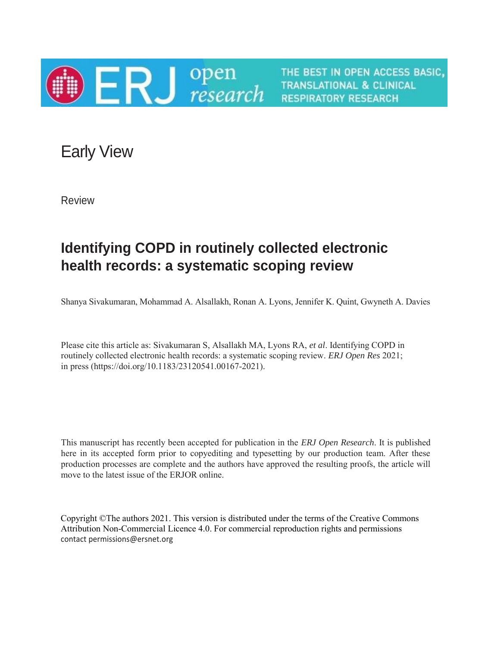

THE BEST IN OPEN ACCESS BASIC, **TRANSLATIONAL & CLINICAL RESPIRATORY RESEARCH** 

Early View

Review

## **Identifying COPD in routinely collected electronic health records: a systematic scoping review**

Shanya Sivakumaran, Mohammad A. Alsallakh, Ronan A. Lyons, Jennifer K. Quint, Gwyneth A. Davies

Please cite this article as: Sivakumaran S, Alsallakh MA, Lyons RA, *et al*. Identifying COPD in routinely collected electronic health records: a systematic scoping review. *ERJ Open Res* 2021; in press (https://doi.org/10.1183/23120541.00167-2021).

This manuscript has recently been accepted for publication in the *ERJ Open Research*. It is published here in its accepted form prior to copyediting and typesetting by our production team. After these production processes are complete and the authors have approved the resulting proofs, the article will move to the latest issue of the ERJOR online.

Copyright ©The authors 2021. This version is distributed under the terms of the Creative Commons Attribution Non-Commercial Licence 4.0. For commercial reproduction rights and permissions contact permissions@ersnet.org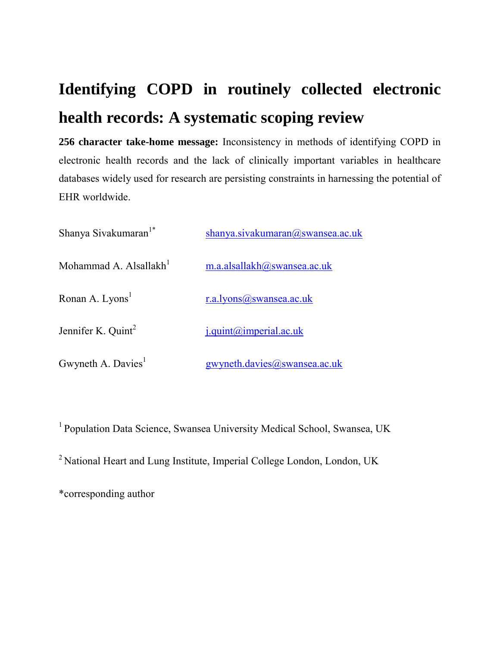# **Identifying COPD in routinely collected electronic health records: A systematic scoping review**

**256 character take-home message:** Inconsistency in methods of identifying COPD in electronic health records and the lack of clinically important variables in healthcare databases widely used for research are persisting constraints in harnessing the potential of EHR worldwide.

| Shanya Sivakumaran <sup>1*</sup>   | shanya.sivakumaran@swansea.ac.uk |
|------------------------------------|----------------------------------|
| Mohammad A. Alsallakh <sup>1</sup> | m.a.alsallakh@swansea.ac.uk      |
| Ronan A. Lyons <sup>1</sup>        | r.a.lyons@swansea.ac.uk          |
| Jennifer K. Quint <sup>2</sup>     | i.quint@imperial.ac.uk           |
| Gwyneth A. Davies <sup>1</sup>     | gwyneth.davies@swansea.ac.uk     |

<sup>1</sup> Population Data Science, Swansea University Medical School, Swansea, UK <sup>2</sup> National Heart and Lung Institute, Imperial College London, London, UK \*corresponding author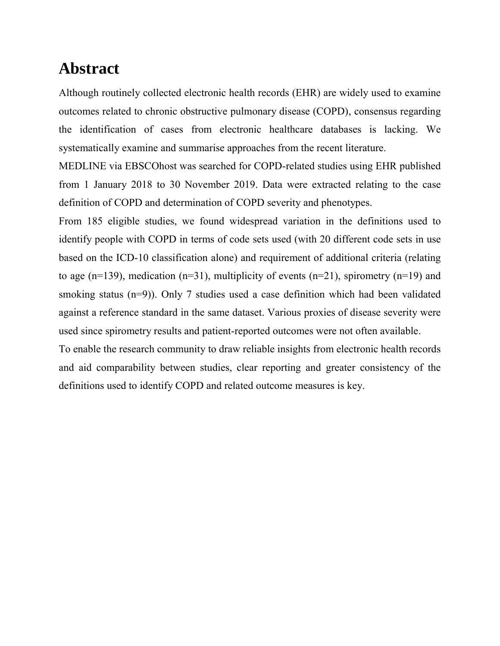## **Abstract**

Although routinely collected electronic health records (EHR) are widely used to examine outcomes related to chronic obstructive pulmonary disease (COPD), consensus regarding the identification of cases from electronic healthcare databases is lacking. We systematically examine and summarise approaches from the recent literature.

MEDLINE via EBSCOhost was searched for COPD-related studies using EHR published from 1 January 2018 to 30 November 2019. Data were extracted relating to the case definition of COPD and determination of COPD severity and phenotypes.

From 185 eligible studies, we found widespread variation in the definitions used to identify people with COPD in terms of code sets used (with 20 different code sets in use based on the ICD-10 classification alone) and requirement of additional criteria (relating to age (n=139), medication (n=31), multiplicity of events (n=21), spirometry (n=19) and smoking status (n=9)). Only 7 studies used a case definition which had been validated against a reference standard in the same dataset. Various proxies of disease severity were used since spirometry results and patient-reported outcomes were not often available.

To enable the research community to draw reliable insights from electronic health records and aid comparability between studies, clear reporting and greater consistency of the definitions used to identify COPD and related outcome measures is key.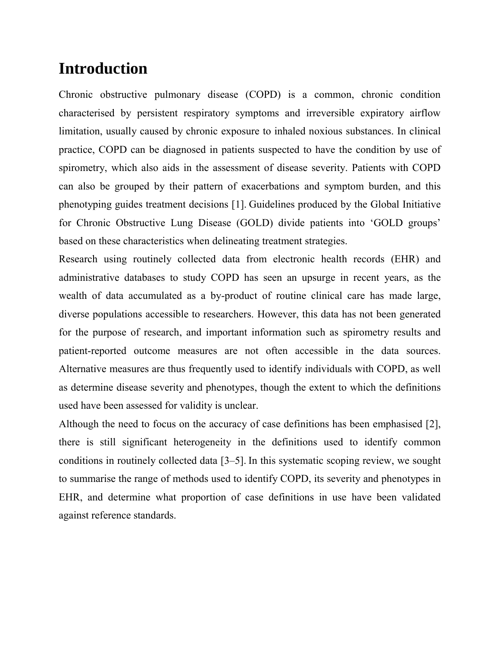## **Introduction**

Chronic obstructive pulmonary disease (COPD) is a common, chronic condition characterised by persistent respiratory symptoms and irreversible expiratory airflow limitation, usually caused by chronic exposure to inhaled noxious substances. In clinical practice, COPD can be diagnosed in patients suspected to have the condition by use of spirometry, which also aids in the assessment of disease severity. Patients with COPD can also be grouped by their pattern of exacerbations and symptom burden, and this phenotyping guides treatment decisions [1]. Guidelines produced by the Global Initiative for Chronic Obstructive Lung Disease (GOLD) divide patients into 'GOLD groups' based on these characteristics when delineating treatment strategies.

Research using routinely collected data from electronic health records (EHR) and administrative databases to study COPD has seen an upsurge in recent years, as the wealth of data accumulated as a by-product of routine clinical care has made large, diverse populations accessible to researchers. However, this data has not been generated for the purpose of research, and important information such as spirometry results and patient-reported outcome measures are not often accessible in the data sources. Alternative measures are thus frequently used to identify individuals with COPD, as well as determine disease severity and phenotypes, though the extent to which the definitions used have been assessed for validity is unclear.

Although the need to focus on the accuracy of case definitions has been emphasised [2], there is still significant heterogeneity in the definitions used to identify common conditions in routinely collected data [3–5]. In this systematic scoping review, we sought to summarise the range of methods used to identify COPD, its severity and phenotypes in EHR, and determine what proportion of case definitions in use have been validated against reference standards.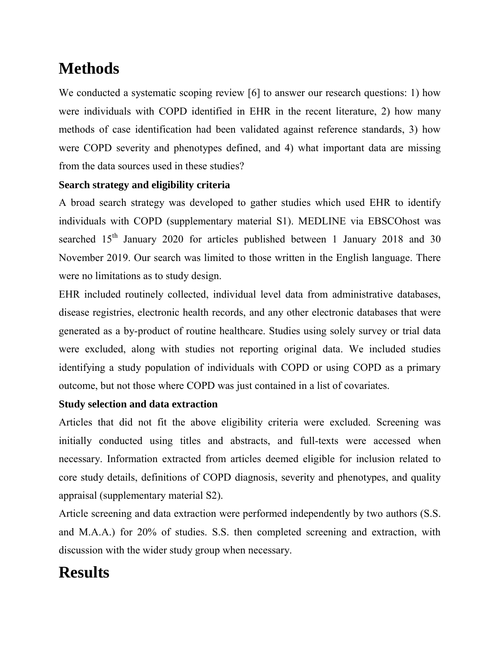# **Methods**

We conducted a systematic scoping review [6] to answer our research questions: 1) how were individuals with COPD identified in EHR in the recent literature, 2) how many methods of case identification had been validated against reference standards, 3) how were COPD severity and phenotypes defined, and 4) what important data are missing from the data sources used in these studies?

### **Search strategy and eligibility criteria**

A broad search strategy was developed to gather studies which used EHR to identify individuals with COPD (supplementary material S1). MEDLINE via EBSCOhost was searched  $15<sup>th</sup>$  January 2020 for articles published between 1 January 2018 and 30 November 2019. Our search was limited to those written in the English language. There were no limitations as to study design.

EHR included routinely collected, individual level data from administrative databases, disease registries, electronic health records, and any other electronic databases that were generated as a by-product of routine healthcare. Studies using solely survey or trial data were excluded, along with studies not reporting original data. We included studies identifying a study population of individuals with COPD or using COPD as a primary outcome, but not those where COPD was just contained in a list of covariates.

### **Study selection and data extraction**

Articles that did not fit the above eligibility criteria were excluded. Screening was initially conducted using titles and abstracts, and full-texts were accessed when necessary. Information extracted from articles deemed eligible for inclusion related to core study details, definitions of COPD diagnosis, severity and phenotypes, and quality appraisal (supplementary material S2).

Article screening and data extraction were performed independently by two authors (S.S. and M.A.A.) for 20% of studies. S.S. then completed screening and extraction, with discussion with the wider study group when necessary.

# **Results**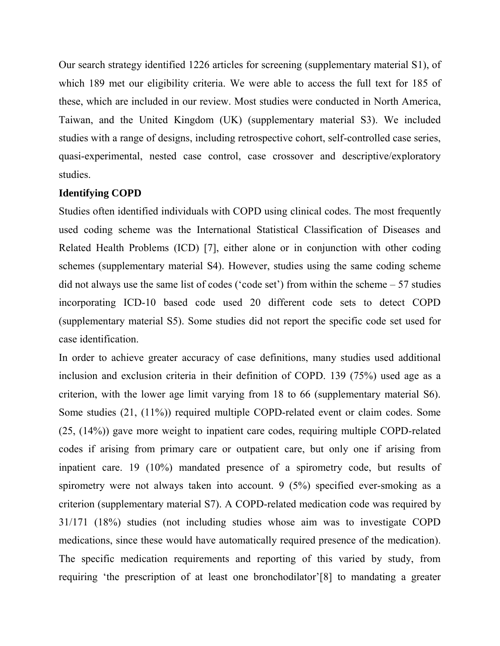Our search strategy identified 1226 articles for screening (supplementary material S1), of which 189 met our eligibility criteria. We were able to access the full text for 185 of these, which are included in our review. Most studies were conducted in North America, Taiwan, and the United Kingdom (UK) (supplementary material S3). We included studies with a range of designs, including retrospective cohort, self-controlled case series, quasi-experimental, nested case control, case crossover and descriptive/exploratory studies.

#### **Identifying COPD**

Studies often identified individuals with COPD using clinical codes. The most frequently used coding scheme was the International Statistical Classification of Diseases and Related Health Problems (ICD) [7], either alone or in conjunction with other coding schemes (supplementary material S4). However, studies using the same coding scheme did not always use the same list of codes ('code set') from within the scheme – 57 studies incorporating ICD-10 based code used 20 different code sets to detect COPD (supplementary material S5). Some studies did not report the specific code set used for case identification.

In order to achieve greater accuracy of case definitions, many studies used additional inclusion and exclusion criteria in their definition of COPD. 139 (75%) used age as a criterion, with the lower age limit varying from 18 to 66 (supplementary material S6). Some studies (21, (11%)) required multiple COPD-related event or claim codes. Some (25, (14%)) gave more weight to inpatient care codes, requiring multiple COPD-related codes if arising from primary care or outpatient care, but only one if arising from inpatient care. 19 (10%) mandated presence of a spirometry code, but results of spirometry were not always taken into account. 9 (5%) specified ever-smoking as a criterion (supplementary material S7). A COPD-related medication code was required by 31/171 (18%) studies (not including studies whose aim was to investigate COPD medications, since these would have automatically required presence of the medication). The specific medication requirements and reporting of this varied by study, from requiring 'the prescription of at least one bronchodilator'[8] to mandating a greater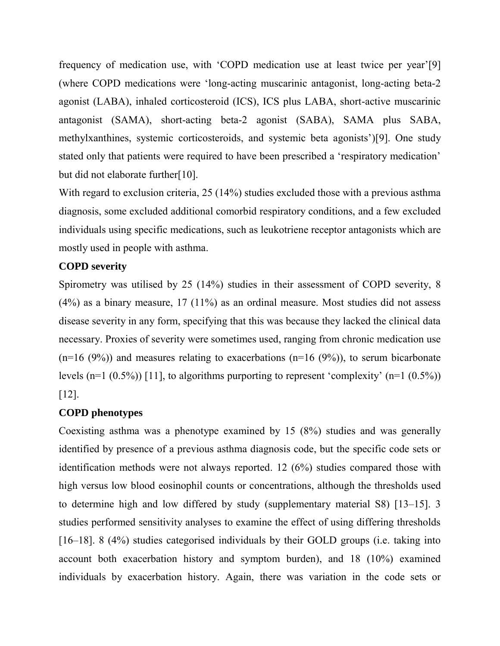frequency of medication use, with 'COPD medication use at least twice per year'[9] (where COPD medications were 'long-acting muscarinic antagonist, long-acting beta-2 agonist (LABA), inhaled corticosteroid (ICS), ICS plus LABA, short-active muscarinic antagonist (SAMA), short-acting beta-2 agonist (SABA), SAMA plus SABA, methylxanthines, systemic corticosteroids, and systemic beta agonists')[9]. One study stated only that patients were required to have been prescribed a 'respiratory medication' but did not elaborate further[10].

With regard to exclusion criteria, 25 (14%) studies excluded those with a previous asthma diagnosis, some excluded additional comorbid respiratory conditions, and a few excluded individuals using specific medications, such as leukotriene receptor antagonists which are mostly used in people with asthma.

#### **COPD severity**

Spirometry was utilised by 25 (14%) studies in their assessment of COPD severity, 8 (4%) as a binary measure, 17 (11%) as an ordinal measure. Most studies did not assess disease severity in any form, specifying that this was because they lacked the clinical data necessary. Proxies of severity were sometimes used, ranging from chronic medication use  $(n=16 (9%))$  and measures relating to exacerbations  $(n=16 (9%))$ , to serum bicarbonate levels (n=1  $(0.5\%)$ ) [11], to algorithms purporting to represent 'complexity' (n=1  $(0.5\%)$ ) [12].

#### **COPD phenotypes**

Coexisting asthma was a phenotype examined by 15 (8%) studies and was generally identified by presence of a previous asthma diagnosis code, but the specific code sets or identification methods were not always reported. 12 (6%) studies compared those with high versus low blood eosinophil counts or concentrations, although the thresholds used to determine high and low differed by study (supplementary material S8) [13–15]. 3 studies performed sensitivity analyses to examine the effect of using differing thresholds [16–18]. 8 (4%) studies categorised individuals by their GOLD groups (i.e. taking into account both exacerbation history and symptom burden), and 18 (10%) examined individuals by exacerbation history. Again, there was variation in the code sets or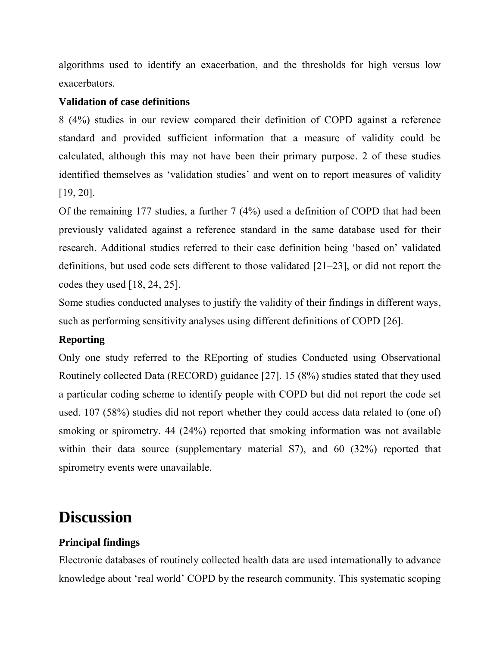algorithms used to identify an exacerbation, and the thresholds for high versus low exacerbators.

#### **Validation of case definitions**

8 (4%) studies in our review compared their definition of COPD against a reference standard and provided sufficient information that a measure of validity could be calculated, although this may not have been their primary purpose. 2 of these studies identified themselves as 'validation studies' and went on to report measures of validity [19, 20].

Of the remaining 177 studies, a further 7 (4%) used a definition of COPD that had been previously validated against a reference standard in the same database used for their research. Additional studies referred to their case definition being 'based on' validated definitions, but used code sets different to those validated [21–23], or did not report the codes they used [18, 24, 25].

Some studies conducted analyses to justify the validity of their findings in different ways, such as performing sensitivity analyses using different definitions of COPD [26].

#### **Reporting**

Only one study referred to the REporting of studies Conducted using Observational Routinely collected Data (RECORD) guidance [27]. 15 (8%) studies stated that they used a particular coding scheme to identify people with COPD but did not report the code set used. 107 (58%) studies did not report whether they could access data related to (one of) smoking or spirometry. 44 (24%) reported that smoking information was not available within their data source (supplementary material S7), and 60 (32%) reported that spirometry events were unavailable.

## **Discussion**

### **Principal findings**

Electronic databases of routinely collected health data are used internationally to advance knowledge about 'real world' COPD by the research community. This systematic scoping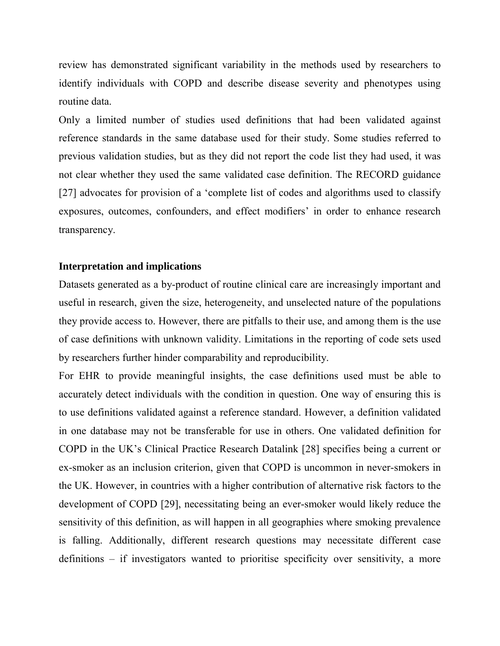review has demonstrated significant variability in the methods used by researchers to identify individuals with COPD and describe disease severity and phenotypes using routine data.

Only a limited number of studies used definitions that had been validated against reference standards in the same database used for their study. Some studies referred to previous validation studies, but as they did not report the code list they had used, it was not clear whether they used the same validated case definition. The RECORD guidance [27] advocates for provision of a 'complete list of codes and algorithms used to classify exposures, outcomes, confounders, and effect modifiers' in order to enhance research transparency.

#### **Interpretation and implications**

Datasets generated as a by-product of routine clinical care are increasingly important and useful in research, given the size, heterogeneity, and unselected nature of the populations they provide access to. However, there are pitfalls to their use, and among them is the use of case definitions with unknown validity. Limitations in the reporting of code sets used by researchers further hinder comparability and reproducibility.

For EHR to provide meaningful insights, the case definitions used must be able to accurately detect individuals with the condition in question. One way of ensuring this is to use definitions validated against a reference standard. However, a definition validated in one database may not be transferable for use in others. One validated definition for COPD in the UK's Clinical Practice Research Datalink [28] specifies being a current or ex-smoker as an inclusion criterion, given that COPD is uncommon in never-smokers in the UK. However, in countries with a higher contribution of alternative risk factors to the development of COPD [29], necessitating being an ever-smoker would likely reduce the sensitivity of this definition, as will happen in all geographies where smoking prevalence is falling. Additionally, different research questions may necessitate different case definitions – if investigators wanted to prioritise specificity over sensitivity, a more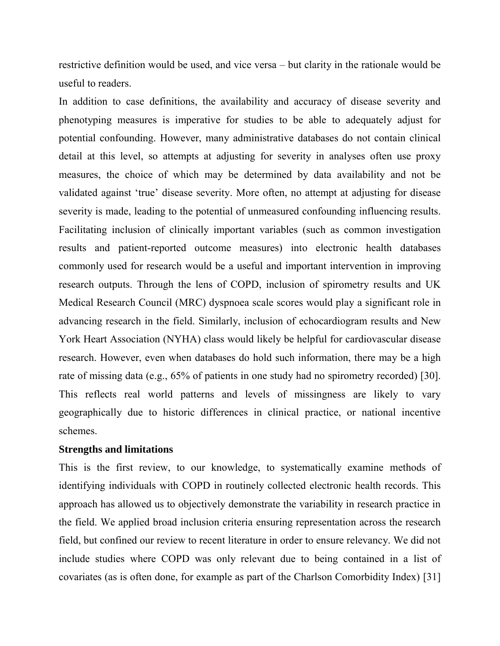restrictive definition would be used, and vice versa – but clarity in the rationale would be useful to readers.

In addition to case definitions, the availability and accuracy of disease severity and phenotyping measures is imperative for studies to be able to adequately adjust for potential confounding. However, many administrative databases do not contain clinical detail at this level, so attempts at adjusting for severity in analyses often use proxy measures, the choice of which may be determined by data availability and not be validated against 'true' disease severity. More often, no attempt at adjusting for disease severity is made, leading to the potential of unmeasured confounding influencing results. Facilitating inclusion of clinically important variables (such as common investigation results and patient-reported outcome measures) into electronic health databases commonly used for research would be a useful and important intervention in improving research outputs. Through the lens of COPD, inclusion of spirometry results and UK Medical Research Council (MRC) dyspnoea scale scores would play a significant role in advancing research in the field. Similarly, inclusion of echocardiogram results and New York Heart Association (NYHA) class would likely be helpful for cardiovascular disease research. However, even when databases do hold such information, there may be a high rate of missing data (e.g., 65% of patients in one study had no spirometry recorded) [30]. This reflects real world patterns and levels of missingness are likely to vary geographically due to historic differences in clinical practice, or national incentive schemes.

#### **Strengths and limitations**

This is the first review, to our knowledge, to systematically examine methods of identifying individuals with COPD in routinely collected electronic health records. This approach has allowed us to objectively demonstrate the variability in research practice in the field. We applied broad inclusion criteria ensuring representation across the research field, but confined our review to recent literature in order to ensure relevancy. We did not include studies where COPD was only relevant due to being contained in a list of covariates (as is often done, for example as part of the Charlson Comorbidity Index) [31]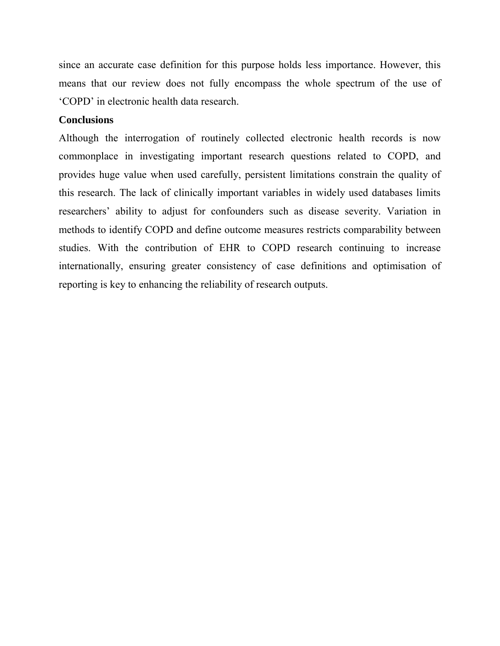since an accurate case definition for this purpose holds less importance. However, this means that our review does not fully encompass the whole spectrum of the use of 'COPD' in electronic health data research.

#### **Conclusions**

Although the interrogation of routinely collected electronic health records is now commonplace in investigating important research questions related to COPD, and provides huge value when used carefully, persistent limitations constrain the quality of this research. The lack of clinically important variables in widely used databases limits researchers' ability to adjust for confounders such as disease severity. Variation in methods to identify COPD and define outcome measures restricts comparability between studies. With the contribution of EHR to COPD research continuing to increase internationally, ensuring greater consistency of case definitions and optimisation of reporting is key to enhancing the reliability of research outputs.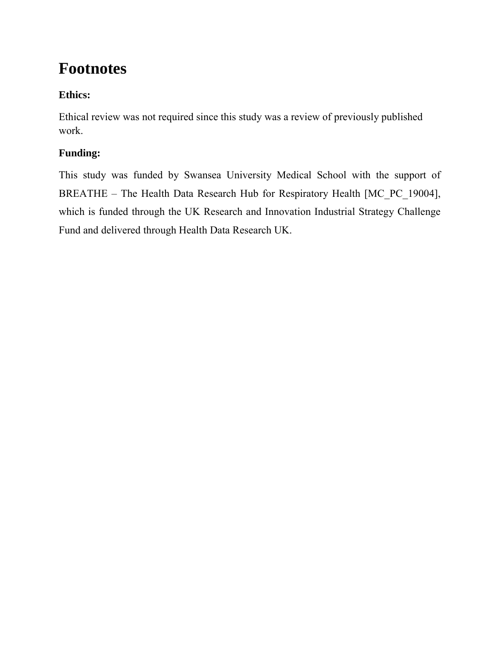# **Footnotes**

### **Ethics:**

Ethical review was not required since this study was a review of previously published work.

### **Funding:**

This study was funded by Swansea University Medical School with the support of BREATHE – The Health Data Research Hub for Respiratory Health [MC\_PC\_19004], which is funded through the UK Research and Innovation Industrial Strategy Challenge Fund and delivered through Health Data Research UK.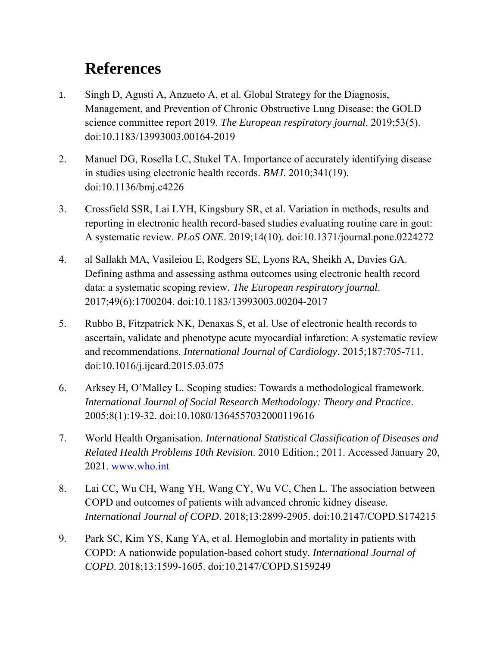# **References**

- 1. Singh D, Agusti A, Anzueto A, et al. Global Strategy for the Diagnosis, Management, and Prevention of Chronic Obstructive Lung Disease: the GOLD science committee report 2019. *The European respiratory journal*. 2019;53(5). doi:10.1183/13993003.00164-2019
- 2. Manuel DG, Rosella LC, Stukel TA. Importance of accurately identifying disease in studies using electronic health records. *BMJ*. 2010;341(19). doi:10.1136/bmj.c4226
- 3. Crossfield SSR, Lai LYH, Kingsbury SR, et al. Variation in methods, results and reporting in electronic health record-based studies evaluating routine care in gout: A systematic review. *PLoS ONE*. 2019;14(10). doi:10.1371/journal.pone.0224272
- 4. al Sallakh MA, Vasileiou E, Rodgers SE, Lyons RA, Sheikh A, Davies GA. Defining asthma and assessing asthma outcomes using electronic health record data: a systematic scoping review. *The European respiratory journal*. 2017;49(6):1700204. doi:10.1183/13993003.00204-2017
- 5. Rubbo B, Fitzpatrick NK, Denaxas S, et al. Use of electronic health records to ascertain, validate and phenotype acute myocardial infarction: A systematic review and recommendations. *International Journal of Cardiology*. 2015;187:705-711. doi:10.1016/j.ijcard.2015.03.075
- 6. Arksey H, O'Malley L. Scoping studies: Towards a methodological framework. *International Journal of Social Research Methodology: Theory and Practice*. 2005;8(1):19-32. doi:10.1080/1364557032000119616
- 7. World Health Organisation. *International Statistical Classification of Diseases and Related Health Problems 10th Revision*. 2010 Edition.; 2011. Accessed January 20, 2021. [www.who.int](http://www.who.int/)
- 8. Lai CC, Wu CH, Wang YH, Wang CY, Wu VC, Chen L. The association between COPD and outcomes of patients with advanced chronic kidney disease. *International Journal of COPD*. 2018;13:2899-2905. doi:10.2147/COPD.S174215
- 9. Park SC, Kim YS, Kang YA, et al. Hemoglobin and mortality in patients with COPD: A nationwide population-based cohort study. *International Journal of COPD*. 2018;13:1599-1605. doi:10.2147/COPD.S159249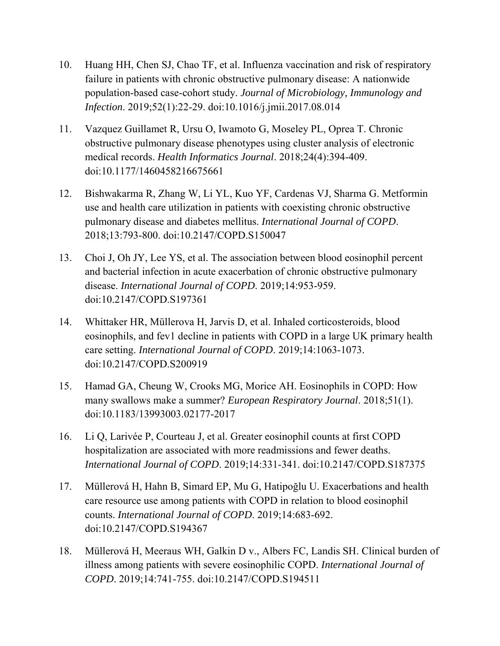- 10. Huang HH, Chen SJ, Chao TF, et al. Influenza vaccination and risk of respiratory failure in patients with chronic obstructive pulmonary disease: A nationwide population-based case-cohort study. *Journal of Microbiology, Immunology and Infection*. 2019;52(1):22-29. doi:10.1016/j.jmii.2017.08.014
- 11. Vazquez Guillamet R, Ursu O, Iwamoto G, Moseley PL, Oprea T. Chronic obstructive pulmonary disease phenotypes using cluster analysis of electronic medical records. *Health Informatics Journal*. 2018;24(4):394-409. doi:10.1177/1460458216675661
- 12. Bishwakarma R, Zhang W, Li YL, Kuo YF, Cardenas VJ, Sharma G. Metformin use and health care utilization in patients with coexisting chronic obstructive pulmonary disease and diabetes mellitus. *International Journal of COPD*. 2018;13:793-800. doi:10.2147/COPD.S150047
- 13. Choi J, Oh JY, Lee YS, et al. The association between blood eosinophil percent and bacterial infection in acute exacerbation of chronic obstructive pulmonary disease. *International Journal of COPD*. 2019;14:953-959. doi:10.2147/COPD.S197361
- 14. Whittaker HR, Müllerova H, Jarvis D, et al. Inhaled corticosteroids, blood eosinophils, and fev1 decline in patients with COPD in a large UK primary health care setting. *International Journal of COPD*. 2019;14:1063-1073. doi:10.2147/COPD.S200919
- 15. Hamad GA, Cheung W, Crooks MG, Morice AH. Eosinophils in COPD: How many swallows make a summer? *European Respiratory Journal*. 2018;51(1). doi:10.1183/13993003.02177-2017
- 16. Li Q, Larivée P, Courteau J, et al. Greater eosinophil counts at first COPD hospitalization are associated with more readmissions and fewer deaths. *International Journal of COPD*. 2019;14:331-341. doi:10.2147/COPD.S187375
- 17. Müllerová H, Hahn B, Simard EP, Mu G, Hatipoğlu U. Exacerbations and health care resource use among patients with COPD in relation to blood eosinophil counts. *International Journal of COPD*. 2019;14:683-692. doi:10.2147/COPD.S194367
- 18. Müllerová H, Meeraus WH, Galkin D v., Albers FC, Landis SH. Clinical burden of illness among patients with severe eosinophilic COPD. *International Journal of COPD*. 2019;14:741-755. doi:10.2147/COPD.S194511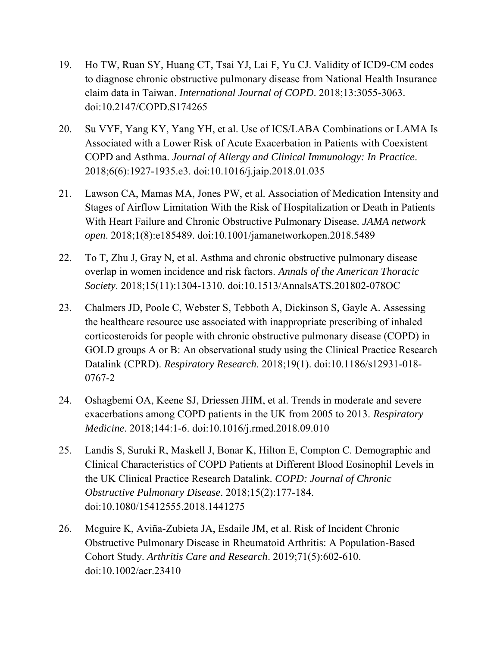- 19. Ho TW, Ruan SY, Huang CT, Tsai YJ, Lai F, Yu CJ. Validity of ICD9-CM codes to diagnose chronic obstructive pulmonary disease from National Health Insurance claim data in Taiwan. *International Journal of COPD*. 2018;13:3055-3063. doi:10.2147/COPD.S174265
- 20. Su VYF, Yang KY, Yang YH, et al. Use of ICS/LABA Combinations or LAMA Is Associated with a Lower Risk of Acute Exacerbation in Patients with Coexistent COPD and Asthma. *Journal of Allergy and Clinical Immunology: In Practice*. 2018;6(6):1927-1935.e3. doi:10.1016/j.jaip.2018.01.035
- 21. Lawson CA, Mamas MA, Jones PW, et al. Association of Medication Intensity and Stages of Airflow Limitation With the Risk of Hospitalization or Death in Patients With Heart Failure and Chronic Obstructive Pulmonary Disease. *JAMA network open*. 2018;1(8):e185489. doi:10.1001/jamanetworkopen.2018.5489
- 22. To T, Zhu J, Gray N, et al. Asthma and chronic obstructive pulmonary disease overlap in women incidence and risk factors. *Annals of the American Thoracic Society*. 2018;15(11):1304-1310. doi:10.1513/AnnalsATS.201802-078OC
- 23. Chalmers JD, Poole C, Webster S, Tebboth A, Dickinson S, Gayle A. Assessing the healthcare resource use associated with inappropriate prescribing of inhaled corticosteroids for people with chronic obstructive pulmonary disease (COPD) in GOLD groups A or B: An observational study using the Clinical Practice Research Datalink (CPRD). *Respiratory Research*. 2018;19(1). doi:10.1186/s12931-018- 0767-2
- 24. Oshagbemi OA, Keene SJ, Driessen JHM, et al. Trends in moderate and severe exacerbations among COPD patients in the UK from 2005 to 2013. *Respiratory Medicine*. 2018;144:1-6. doi:10.1016/j.rmed.2018.09.010
- 25. Landis S, Suruki R, Maskell J, Bonar K, Hilton E, Compton C. Demographic and Clinical Characteristics of COPD Patients at Different Blood Eosinophil Levels in the UK Clinical Practice Research Datalink. *COPD: Journal of Chronic Obstructive Pulmonary Disease*. 2018;15(2):177-184. doi:10.1080/15412555.2018.1441275
- 26. Mcguire K, Aviña-Zubieta JA, Esdaile JM, et al. Risk of Incident Chronic Obstructive Pulmonary Disease in Rheumatoid Arthritis: A Population-Based Cohort Study. *Arthritis Care and Research*. 2019;71(5):602-610. doi:10.1002/acr.23410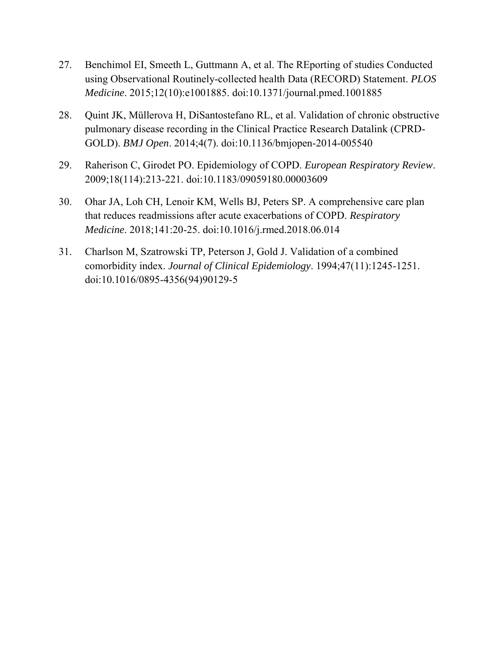- 27. Benchimol EI, Smeeth L, Guttmann A, et al. The REporting of studies Conducted using Observational Routinely-collected health Data (RECORD) Statement. *PLOS Medicine*. 2015;12(10):e1001885. doi:10.1371/journal.pmed.1001885
- 28. Quint JK, Müllerova H, DiSantostefano RL, et al. Validation of chronic obstructive pulmonary disease recording in the Clinical Practice Research Datalink (CPRD-GOLD). *BMJ Open*. 2014;4(7). doi:10.1136/bmjopen-2014-005540
- 29. Raherison C, Girodet PO. Epidemiology of COPD. *European Respiratory Review*. 2009;18(114):213-221. doi:10.1183/09059180.00003609
- 30. Ohar JA, Loh CH, Lenoir KM, Wells BJ, Peters SP. A comprehensive care plan that reduces readmissions after acute exacerbations of COPD. *Respiratory Medicine*. 2018;141:20-25. doi:10.1016/j.rmed.2018.06.014
- 31. Charlson M, Szatrowski TP, Peterson J, Gold J. Validation of a combined comorbidity index. *Journal of Clinical Epidemiology*. 1994;47(11):1245-1251. doi:10.1016/0895-4356(94)90129-5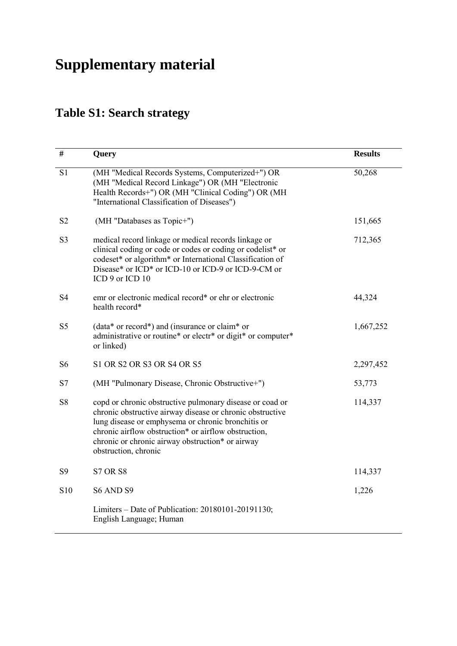# **Supplementary material**

# **Table S1: Search strategy**

| $\#$           | Query                                                                                                                                                                                                                                                                                                           | <b>Results</b> |
|----------------|-----------------------------------------------------------------------------------------------------------------------------------------------------------------------------------------------------------------------------------------------------------------------------------------------------------------|----------------|
| S1             | (MH "Medical Records Systems, Computerized+") OR<br>(MH "Medical Record Linkage") OR (MH "Electronic<br>Health Records+") OR (MH "Clinical Coding") OR (MH<br>"International Classification of Diseases")                                                                                                       | 50,268         |
| S <sub>2</sub> | (MH "Databases as Topic+")                                                                                                                                                                                                                                                                                      | 151,665        |
| S <sub>3</sub> | medical record linkage or medical records linkage or<br>clinical coding or code or codes or coding or codelist* or<br>codeset* or algorithm* or International Classification of<br>Disease* or ICD* or ICD-10 or ICD-9 or ICD-9-CM or<br>ICD 9 or ICD 10                                                        | 712,365        |
| S <sub>4</sub> | emr or electronic medical record* or ehr or electronic<br>health record*                                                                                                                                                                                                                                        | 44,324         |
| S <sub>5</sub> | $(data * or record*)$ and (insurance or claim <sup>*</sup> or<br>administrative or routine* or electr* or digit* or computer*<br>or linked)                                                                                                                                                                     | 1,667,252      |
| S <sub>6</sub> | S1 OR S2 OR S3 OR S4 OR S5                                                                                                                                                                                                                                                                                      | 2,297,452      |
| S7             | (MH "Pulmonary Disease, Chronic Obstructive+")                                                                                                                                                                                                                                                                  | 53,773         |
| S8             | copd or chronic obstructive pulmonary disease or coad or<br>chronic obstructive airway disease or chronic obstructive<br>lung disease or emphysema or chronic bronchitis or<br>chronic airflow obstruction* or airflow obstruction,<br>chronic or chronic airway obstruction* or airway<br>obstruction, chronic | 114,337        |
| S <sub>9</sub> | <b>S7 OR S8</b>                                                                                                                                                                                                                                                                                                 | 114,337        |
| S10            | S6 AND S9                                                                                                                                                                                                                                                                                                       | 1,226          |
|                | Limiters – Date of Publication: 20180101-20191130;<br>English Language; Human                                                                                                                                                                                                                                   |                |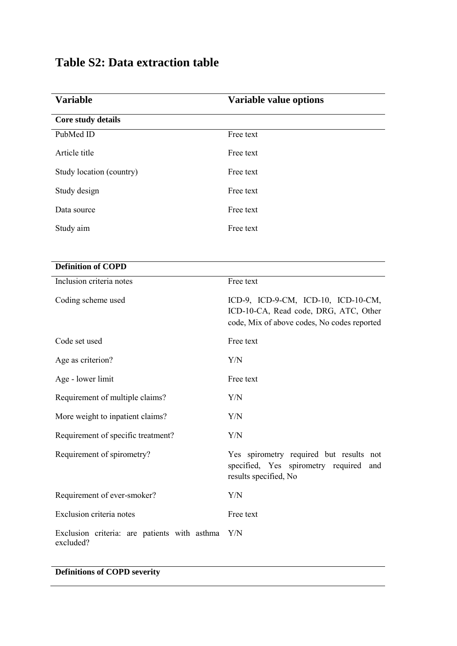## **Table S2: Data extraction table**

| <b>Variable</b>                                           | <b>Variable value options</b>                                                                                               |
|-----------------------------------------------------------|-----------------------------------------------------------------------------------------------------------------------------|
| Core study details                                        |                                                                                                                             |
| PubMed ID                                                 | Free text                                                                                                                   |
| Article title                                             | Free text                                                                                                                   |
| Study location (country)                                  | Free text                                                                                                                   |
| Study design                                              | Free text                                                                                                                   |
| Data source                                               | Free text                                                                                                                   |
| Study aim                                                 | Free text                                                                                                                   |
| <b>Definition of COPD</b>                                 |                                                                                                                             |
| Inclusion criteria notes                                  | Free text                                                                                                                   |
| Coding scheme used                                        | ICD-9, ICD-9-CM, ICD-10, ICD-10-CM,<br>ICD-10-CA, Read code, DRG, ATC, Other<br>code, Mix of above codes, No codes reported |
| Code set used                                             | Free text                                                                                                                   |
| Age as criterion?                                         | Y/N                                                                                                                         |
| Age - lower limit                                         | Free text                                                                                                                   |
| Requirement of multiple claims?                           | Y/N                                                                                                                         |
| More weight to inpatient claims?                          | Y/N                                                                                                                         |
| Requirement of specific treatment?                        | Y/N                                                                                                                         |
| Requirement of spirometry?                                | Yes spirometry required but results not<br>specified, Yes spirometry required<br>and<br>results specified, No               |
| Requirement of ever-smoker?                               | Y/N                                                                                                                         |
| Exclusion criteria notes                                  | Free text                                                                                                                   |
| Exclusion criteria: are patients with asthma<br>excluded? | Y/N                                                                                                                         |

### **Definitions of COPD severity**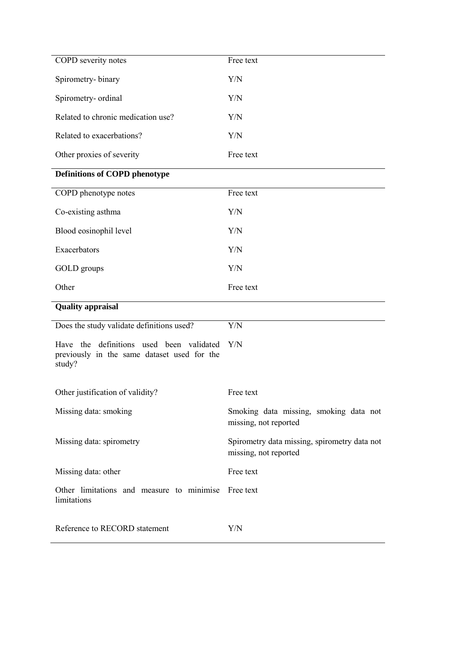| COPD severity notes                                                                               | Free text                                                             |
|---------------------------------------------------------------------------------------------------|-----------------------------------------------------------------------|
| Spirometry-binary                                                                                 | Y/N                                                                   |
| Spirometry- ordinal                                                                               | Y/N                                                                   |
| Related to chronic medication use?                                                                | Y/N                                                                   |
| Related to exacerbations?                                                                         | Y/N                                                                   |
| Other proxies of severity                                                                         | Free text                                                             |
| <b>Definitions of COPD phenotype</b>                                                              |                                                                       |
| COPD phenotype notes                                                                              | Free text                                                             |
| Co-existing asthma                                                                                | Y/N                                                                   |
| Blood eosinophil level                                                                            | Y/N                                                                   |
| Exacerbators                                                                                      | Y/N                                                                   |
| GOLD groups                                                                                       | Y/N                                                                   |
| Other                                                                                             | Free text                                                             |
| <b>Quality appraisal</b>                                                                          |                                                                       |
| Does the study validate definitions used?                                                         | Y/N                                                                   |
| Have the definitions used been validated<br>previously in the same dataset used for the<br>study? | Y/N                                                                   |
| Other justification of validity?                                                                  | Free text                                                             |
| Missing data: smoking                                                                             | Smoking data missing, smoking data not<br>missing, not reported       |
| Missing data: spirometry                                                                          | Spirometry data missing, spirometry data not<br>missing, not reported |
| Missing data: other                                                                               | Free text                                                             |
| Other limitations and measure to minimise<br>limitations                                          | Free text                                                             |
| Reference to RECORD statement                                                                     | Y/N                                                                   |
|                                                                                                   |                                                                       |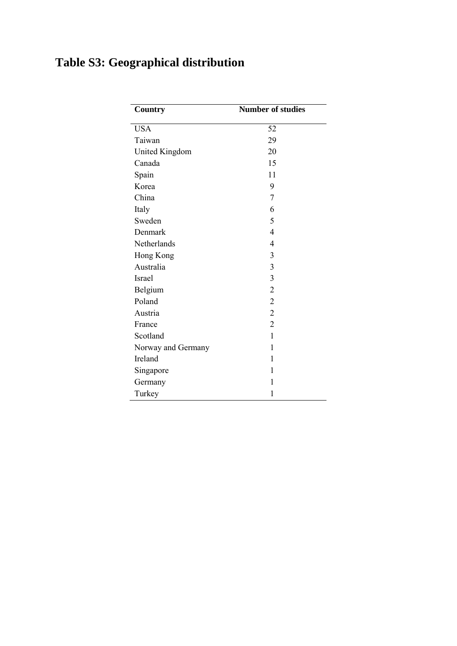# **Table S3: Geographical distribution**

| Country               | <b>Number of studies</b> |
|-----------------------|--------------------------|
| <b>USA</b>            | 52                       |
| Taiwan                | 29                       |
| <b>United Kingdom</b> | 20                       |
| Canada                | 15                       |
| Spain                 | 11                       |
| Korea                 | 9                        |
| China                 | 7                        |
| Italy                 | 6                        |
| Sweden                | 5                        |
| Denmark               | $\overline{4}$           |
| Netherlands           | $\overline{4}$           |
| Hong Kong             | 3                        |
| Australia             | 3                        |
| Israel                | 3                        |
| Belgium               | $\overline{2}$           |
| Poland                | $\overline{2}$           |
| Austria               | $\overline{c}$           |
| France                | $\overline{c}$           |
| Scotland              | $\mathbf{1}$             |
| Norway and Germany    | $\mathbf{1}$             |
| Ireland               | 1                        |
| Singapore             | 1                        |
| Germany               | 1                        |
| Turkey                | 1                        |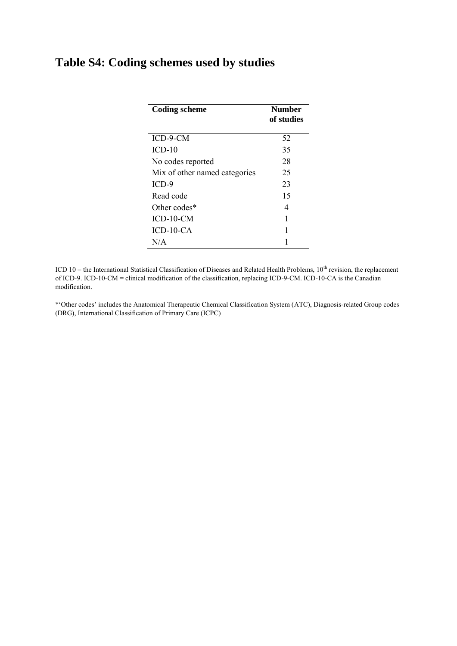### **Table S4: Coding schemes used by studies**

| <b>Coding scheme</b>          | <b>Number</b><br>of studies |
|-------------------------------|-----------------------------|
| ICD-9-CM                      | 52                          |
| $ICD-10$                      | 35                          |
| No codes reported             | 28                          |
| Mix of other named categories | 25                          |
| $ICD-9$                       | 23                          |
| Read code                     | 15                          |
| Other codes*                  | 4                           |
| $ICD-10-CM$                   | 1                           |
| $ICD-10-CA$                   | 1                           |
| N/A                           |                             |

ICD  $10$  = the International Statistical Classification of Diseases and Related Health Problems,  $10<sup>th</sup>$  revision, the replacement of ICD-9. ICD-10-CM = clinical modification of the classification, replacing ICD-9-CM. ICD-10-CA is the Canadian modification.

\*'Other codes' includes the Anatomical Therapeutic Chemical Classification System (ATC), Diagnosis-related Group codes (DRG), International Classification of Primary Care (ICPC)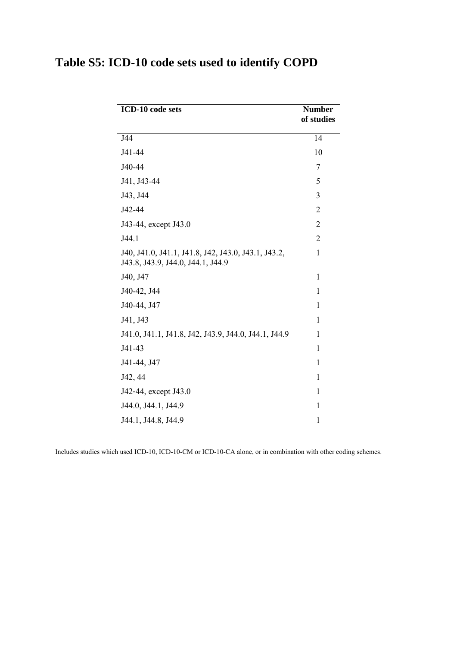| Table S5: ICD-10 code sets used to identify COPD |
|--------------------------------------------------|
|--------------------------------------------------|

| ICD-10 code sets                                                                         | <b>Number</b><br>of studies |
|------------------------------------------------------------------------------------------|-----------------------------|
| J44                                                                                      | 14                          |
| J41-44                                                                                   | 10                          |
| J40-44                                                                                   | 7                           |
| J41, J43-44                                                                              | 5                           |
| J43, J44                                                                                 | 3                           |
| J42-44                                                                                   | $\overline{2}$              |
| J43-44, except J43.0                                                                     | $\overline{2}$              |
| J44.1                                                                                    | $\overline{2}$              |
| J40, J41.0, J41.1, J41.8, J42, J43.0, J43.1, J43.2,<br>J43.8, J43.9, J44.0, J44.1, J44.9 | 1                           |
| J40, J47                                                                                 | $\mathbf{1}$                |
| J40-42, J44                                                                              | 1                           |
| J40-44, J47                                                                              | 1                           |
| J41, J43                                                                                 | 1                           |
| J41.0, J41.1, J41.8, J42, J43.9, J44.0, J44.1, J44.9                                     | 1                           |
| J41-43                                                                                   | $\mathbf{1}$                |
| J41-44, J47                                                                              | $\mathbf{1}$                |
| J42, 44                                                                                  | 1                           |
| J42-44, except J43.0                                                                     | $\mathbf{1}$                |
| J44.0, J44.1, J44.9                                                                      | $\mathbf{1}$                |
| J44.1, J44.8, J44.9                                                                      | $\mathbf{1}$                |

Includes studies which used ICD-10, ICD-10-CM or ICD-10-CA alone, or in combination with other coding schemes.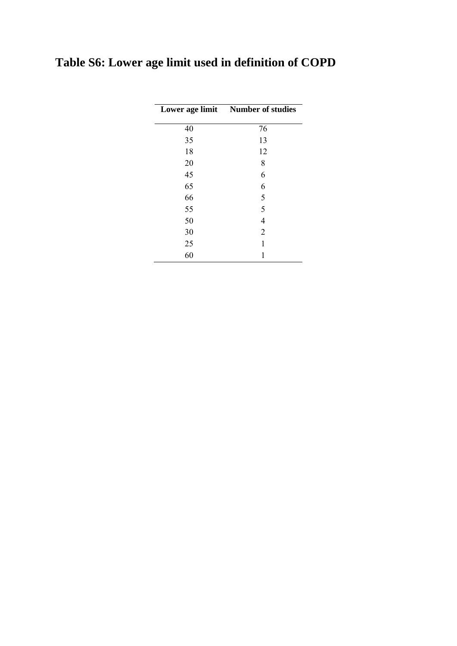# **Table S6: Lower age limit used in definition of COPD**

|    | Lower age limit Number of studies |
|----|-----------------------------------|
| 40 | 76                                |
| 35 | 13                                |
| 18 | 12                                |
| 20 | 8                                 |
| 45 | 6                                 |
| 65 | 6                                 |
| 66 | 5                                 |
| 55 | 5                                 |
| 50 | 4                                 |
| 30 | $\overline{2}$                    |
| 25 | 1                                 |
| 60 |                                   |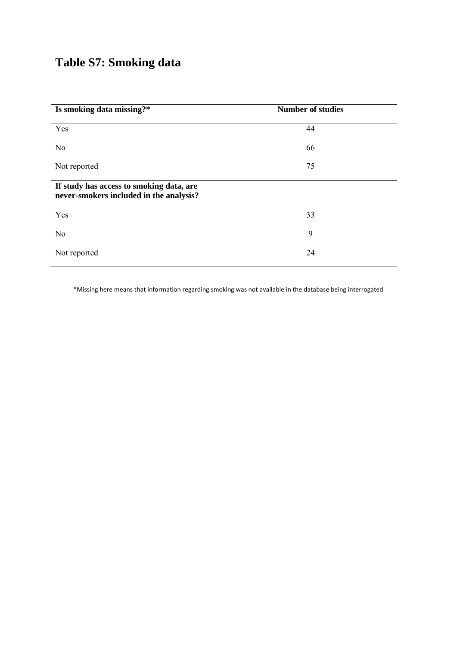## **Table S7: Smoking data**

| Is smoking data missing?*                                                           | <b>Number of studies</b> |
|-------------------------------------------------------------------------------------|--------------------------|
| Yes                                                                                 | 44                       |
| N <sub>0</sub>                                                                      | 66                       |
| Not reported                                                                        | 75                       |
| If study has access to smoking data, are<br>never-smokers included in the analysis? |                          |
| Yes                                                                                 | 33                       |
| N <sub>o</sub>                                                                      | 9                        |
| Not reported                                                                        | 24                       |

\*Missing here means that information regarding smoking was not available in the database being interrogated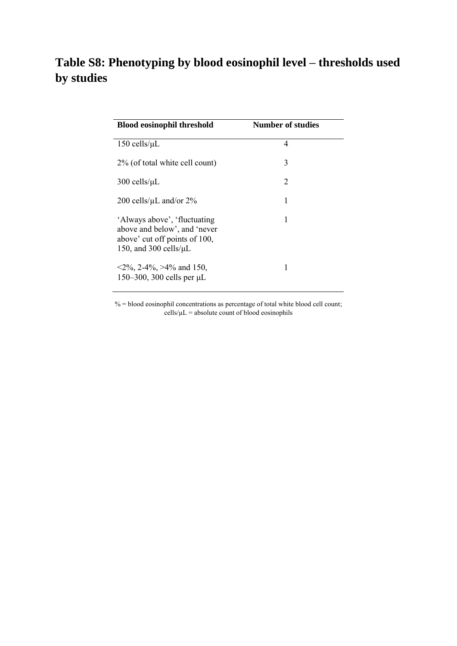## **Table S8: Phenotyping by blood eosinophil level – thresholds used by studies**

| <b>Blood eosinophil threshold</b>                                                                                             | <b>Number of studies</b> |  |
|-------------------------------------------------------------------------------------------------------------------------------|--------------------------|--|
| $150$ cells/ $\mu$ L                                                                                                          | 4                        |  |
| 2% (of total white cell count)                                                                                                | 3                        |  |
| $300$ cells/ $\mu$ L                                                                                                          | 2                        |  |
| 200 cells/ $\mu$ L and/or 2%                                                                                                  | 1                        |  |
| 'Always above', 'fluctuating'<br>above and below', and 'never<br>above' cut off points of 100,<br>150, and 300 cells/ $\mu$ L | 1                        |  |
| $\langle 2\%, 2\text{-}4\%, \rangle 4\%$ and 150,<br>150–300, 300 cells per $\mu$ L                                           |                          |  |

% = blood eosinophil concentrations as percentage of total white blood cell count;  $cells/µL = absolute count of blood eosinophils$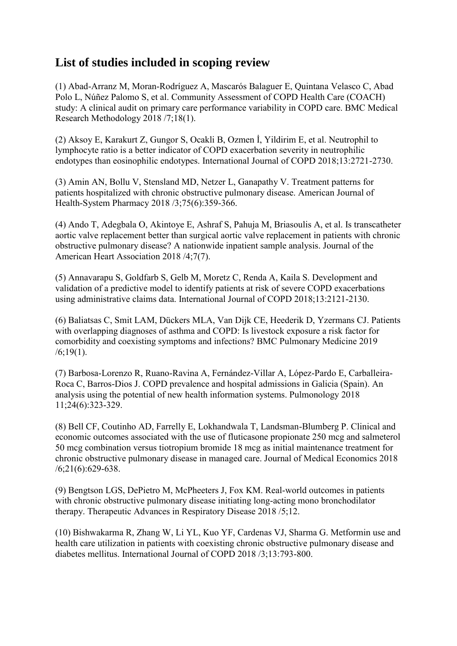### **List of studies included in scoping review**

(1) Abad-Arranz M, Moran-Rodríguez A, Mascarós Balaguer E, Quintana Velasco C, Abad Polo L, Núñez Palomo S, et al. Community Assessment of COPD Health Care (COACH) study: A clinical audit on primary care performance variability in COPD care. BMC Medical Research Methodology 2018 /7;18(1).

(2) Aksoy E, Karakurt Z, Gungor S, Ocakli B, Ozmen İ, Yildirim E, et al. Neutrophil to lymphocyte ratio is a better indicator of COPD exacerbation severity in neutrophilic endotypes than eosinophilic endotypes. International Journal of COPD 2018;13:2721-2730.

(3) Amin AN, Bollu V, Stensland MD, Netzer L, Ganapathy V. Treatment patterns for patients hospitalized with chronic obstructive pulmonary disease. American Journal of Health-System Pharmacy 2018 /3;75(6):359-366.

(4) Ando T, Adegbala O, Akintoye E, Ashraf S, Pahuja M, Briasoulis A, et al. Is transcatheter aortic valve replacement better than surgical aortic valve replacement in patients with chronic obstructive pulmonary disease? A nationwide inpatient sample analysis. Journal of the American Heart Association 2018 /4;7(7).

(5) Annavarapu S, Goldfarb S, Gelb M, Moretz C, Renda A, Kaila S. Development and validation of a predictive model to identify patients at risk of severe COPD exacerbations using administrative claims data. International Journal of COPD 2018;13:2121-2130.

(6) Baliatsas C, Smit LAM, Dückers MLA, Van Dijk CE, Heederik D, Yzermans CJ. Patients with overlapping diagnoses of asthma and COPD: Is livestock exposure a risk factor for comorbidity and coexisting symptoms and infections? BMC Pulmonary Medicine 2019  $/6$ ; 19(1).

(7) Barbosa-Lorenzo R, Ruano-Ravina A, Fernández-Villar A, López-Pardo E, Carballeira-Roca C, Barros-Dios J. COPD prevalence and hospital admissions in Galicia (Spain). An analysis using the potential of new health information systems. Pulmonology 2018 11;24(6):323-329.

(8) Bell CF, Coutinho AD, Farrelly E, Lokhandwala T, Landsman-Blumberg P. Clinical and economic outcomes associated with the use of fluticasone propionate 250 mcg and salmeterol 50 mcg combination versus tiotropium bromide 18 mcg as initial maintenance treatment for chronic obstructive pulmonary disease in managed care. Journal of Medical Economics 2018 /6;21(6):629-638.

(9) Bengtson LGS, DePietro M, McPheeters J, Fox KM. Real-world outcomes in patients with chronic obstructive pulmonary disease initiating long-acting mono bronchodilator therapy. Therapeutic Advances in Respiratory Disease 2018 /5;12.

(10) Bishwakarma R, Zhang W, Li YL, Kuo YF, Cardenas VJ, Sharma G. Metformin use and health care utilization in patients with coexisting chronic obstructive pulmonary disease and diabetes mellitus. International Journal of COPD 2018 /3;13:793-800.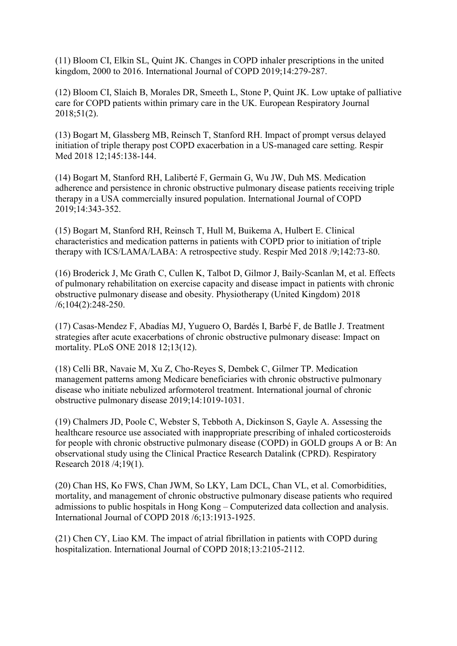(11) Bloom CI, Elkin SL, Quint JK. Changes in COPD inhaler prescriptions in the united kingdom, 2000 to 2016. International Journal of COPD 2019;14:279-287.

(12) Bloom CI, Slaich B, Morales DR, Smeeth L, Stone P, Quint JK. Low uptake of palliative care for COPD patients within primary care in the UK. European Respiratory Journal 2018;51(2).

(13) Bogart M, Glassberg MB, Reinsch T, Stanford RH. Impact of prompt versus delayed initiation of triple therapy post COPD exacerbation in a US-managed care setting. Respir Med 2018 12;145:138-144.

(14) Bogart M, Stanford RH, Laliberté F, Germain G, Wu JW, Duh MS. Medication adherence and persistence in chronic obstructive pulmonary disease patients receiving triple therapy in a USA commercially insured population. International Journal of COPD 2019;14:343-352.

(15) Bogart M, Stanford RH, Reinsch T, Hull M, Buikema A, Hulbert E. Clinical characteristics and medication patterns in patients with COPD prior to initiation of triple therapy with ICS/LAMA/LABA: A retrospective study. Respir Med 2018 /9;142:73-80.

(16) Broderick J, Mc Grath C, Cullen K, Talbot D, Gilmor J, Baily-Scanlan M, et al. Effects of pulmonary rehabilitation on exercise capacity and disease impact in patients with chronic obstructive pulmonary disease and obesity. Physiotherapy (United Kingdom) 2018 /6;104(2):248-250.

(17) Casas-Mendez F, Abadías MJ, Yuguero O, Bardés I, Barbé F, de Batlle J. Treatment strategies after acute exacerbations of chronic obstructive pulmonary disease: Impact on mortality. PLoS ONE 2018 12;13(12).

(18) Celli BR, Navaie M, Xu Z, Cho-Reyes S, Dembek C, Gilmer TP. Medication management patterns among Medicare beneficiaries with chronic obstructive pulmonary disease who initiate nebulized arformoterol treatment. International journal of chronic obstructive pulmonary disease 2019;14:1019-1031.

(19) Chalmers JD, Poole C, Webster S, Tebboth A, Dickinson S, Gayle A. Assessing the healthcare resource use associated with inappropriate prescribing of inhaled corticosteroids for people with chronic obstructive pulmonary disease (COPD) in GOLD groups A or B: An observational study using the Clinical Practice Research Datalink (CPRD). Respiratory Research 2018 /4;19(1).

(20) Chan HS, Ko FWS, Chan JWM, So LKY, Lam DCL, Chan VL, et al. Comorbidities, mortality, and management of chronic obstructive pulmonary disease patients who required admissions to public hospitals in Hong Kong – Computerized data collection and analysis. International Journal of COPD 2018 /6;13:1913-1925.

(21) Chen CY, Liao KM. The impact of atrial fibrillation in patients with COPD during hospitalization. International Journal of COPD 2018;13:2105-2112.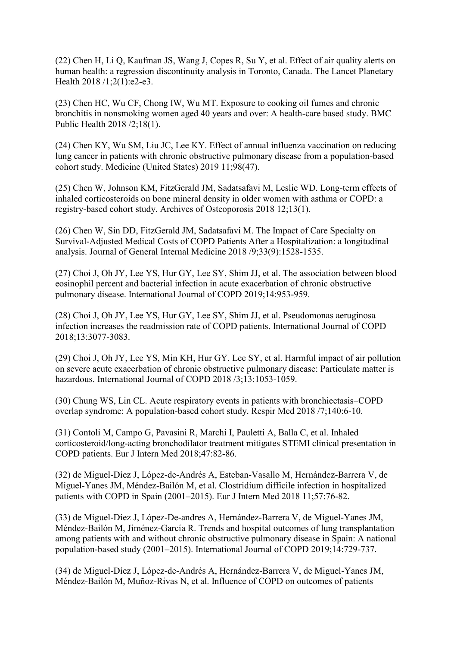(22) Chen H, Li Q, Kaufman JS, Wang J, Copes R, Su Y, et al. Effect of air quality alerts on human health: a regression discontinuity analysis in Toronto, Canada. The Lancet Planetary Health 2018 /1;2(1):e2-e3.

(23) Chen HC, Wu CF, Chong IW, Wu MT. Exposure to cooking oil fumes and chronic bronchitis in nonsmoking women aged 40 years and over: A health-care based study. BMC Public Health 2018 /2;18(1).

(24) Chen KY, Wu SM, Liu JC, Lee KY. Effect of annual influenza vaccination on reducing lung cancer in patients with chronic obstructive pulmonary disease from a population-based cohort study. Medicine (United States) 2019 11;98(47).

(25) Chen W, Johnson KM, FitzGerald JM, Sadatsafavi M, Leslie WD. Long-term effects of inhaled corticosteroids on bone mineral density in older women with asthma or COPD: a registry-based cohort study. Archives of Osteoporosis 2018 12;13(1).

(26) Chen W, Sin DD, FitzGerald JM, Sadatsafavi M. The Impact of Care Specialty on Survival-Adjusted Medical Costs of COPD Patients After a Hospitalization: a longitudinal analysis. Journal of General Internal Medicine 2018 /9;33(9):1528-1535.

(27) Choi J, Oh JY, Lee YS, Hur GY, Lee SY, Shim JJ, et al. The association between blood eosinophil percent and bacterial infection in acute exacerbation of chronic obstructive pulmonary disease. International Journal of COPD 2019;14:953-959.

(28) Choi J, Oh JY, Lee YS, Hur GY, Lee SY, Shim JJ, et al. Pseudomonas aeruginosa infection increases the readmission rate of COPD patients. International Journal of COPD 2018;13:3077-3083.

(29) Choi J, Oh JY, Lee YS, Min KH, Hur GY, Lee SY, et al. Harmful impact of air pollution on severe acute exacerbation of chronic obstructive pulmonary disease: Particulate matter is hazardous. International Journal of COPD 2018 /3;13:1053-1059.

(30) Chung WS, Lin CL. Acute respiratory events in patients with bronchiectasis–COPD overlap syndrome: A population-based cohort study. Respir Med 2018 /7;140:6-10.

(31) Contoli M, Campo G, Pavasini R, Marchi I, Pauletti A, Balla C, et al. Inhaled corticosteroid/long-acting bronchodilator treatment mitigates STEMI clinical presentation in COPD patients. Eur J Intern Med 2018;47:82-86.

(32) de Miguel-Díez J, López-de-Andrés A, Esteban-Vasallo M, Hernández-Barrera V, de Miguel-Yanes JM, Méndez-Bailón M, et al. Clostridium difficile infection in hospitalized patients with COPD in Spain (2001–2015). Eur J Intern Med 2018 11;57:76-82.

(33) de Miguel-Díez J, López-De-andres A, Hernández-Barrera V, de Miguel-Yanes JM, Méndez-Bailón M, Jiménez-García R. Trends and hospital outcomes of lung transplantation among patients with and without chronic obstructive pulmonary disease in Spain: A national population-based study (2001–2015). International Journal of COPD 2019;14:729-737.

(34) de Miguel-Díez J, López-de-Andrés A, Hernández-Barrera V, de Miguel-Yanes JM, Méndez-Bailón M, Muñoz-Rivas N, et al. Influence of COPD on outcomes of patients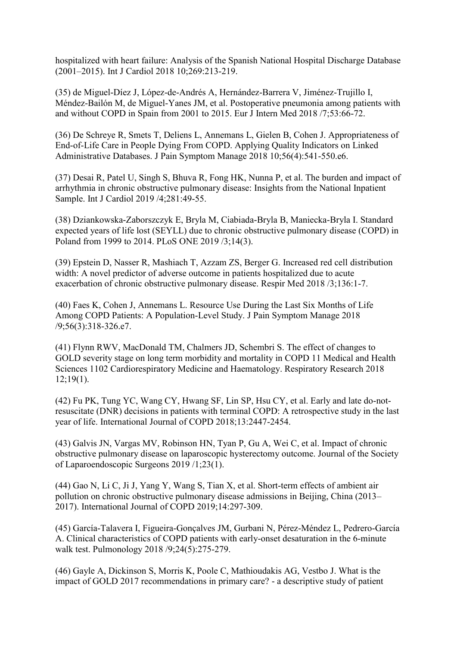hospitalized with heart failure: Analysis of the Spanish National Hospital Discharge Database (2001–2015). Int J Cardiol 2018 10;269:213-219.

(35) de Miguel-Díez J, López-de-Andrés A, Hernández-Barrera V, Jiménez-Trujillo I, Méndez-Bailón M, de Miguel-Yanes JM, et al. Postoperative pneumonia among patients with and without COPD in Spain from 2001 to 2015. Eur J Intern Med 2018 /7;53:66-72.

(36) De Schreye R, Smets T, Deliens L, Annemans L, Gielen B, Cohen J. Appropriateness of End-of-Life Care in People Dying From COPD. Applying Quality Indicators on Linked Administrative Databases. J Pain Symptom Manage 2018 10;56(4):541-550.e6.

(37) Desai R, Patel U, Singh S, Bhuva R, Fong HK, Nunna P, et al. The burden and impact of arrhythmia in chronic obstructive pulmonary disease: Insights from the National Inpatient Sample. Int J Cardiol 2019 /4;281:49-55.

(38) Dziankowska-Zaborszczyk E, Bryla M, Ciabiada-Bryla B, Maniecka-Bryla I. Standard expected years of life lost (SEYLL) due to chronic obstructive pulmonary disease (COPD) in Poland from 1999 to 2014. PLoS ONE 2019 /3;14(3).

(39) Epstein D, Nasser R, Mashiach T, Azzam ZS, Berger G. Increased red cell distribution width: A novel predictor of adverse outcome in patients hospitalized due to acute exacerbation of chronic obstructive pulmonary disease. Respir Med 2018 /3;136:1-7.

(40) Faes K, Cohen J, Annemans L. Resource Use During the Last Six Months of Life Among COPD Patients: A Population-Level Study. J Pain Symptom Manage 2018 /9;56(3):318-326.e7.

(41) Flynn RWV, MacDonald TM, Chalmers JD, Schembri S. The effect of changes to GOLD severity stage on long term morbidity and mortality in COPD 11 Medical and Health Sciences 1102 Cardiorespiratory Medicine and Haematology. Respiratory Research 2018  $12;19(1)$ .

(42) Fu PK, Tung YC, Wang CY, Hwang SF, Lin SP, Hsu CY, et al. Early and late do-notresuscitate (DNR) decisions in patients with terminal COPD: A retrospective study in the last year of life. International Journal of COPD 2018;13:2447-2454.

(43) Galvis JN, Vargas MV, Robinson HN, Tyan P, Gu A, Wei C, et al. Impact of chronic obstructive pulmonary disease on laparoscopic hysterectomy outcome. Journal of the Society of Laparoendoscopic Surgeons 2019 /1;23(1).

(44) Gao N, Li C, Ji J, Yang Y, Wang S, Tian X, et al. Short-term effects of ambient air pollution on chronic obstructive pulmonary disease admissions in Beijing, China (2013– 2017). International Journal of COPD 2019;14:297-309.

(45) García-Talavera I, Figueira-Gonçalves JM, Gurbani N, Pérez-Méndez L, Pedrero-García A. Clinical characteristics of COPD patients with early-onset desaturation in the 6-minute walk test. Pulmonology 2018 /9;24(5):275-279.

(46) Gayle A, Dickinson S, Morris K, Poole C, Mathioudakis AG, Vestbo J. What is the impact of GOLD 2017 recommendations in primary care? - a descriptive study of patient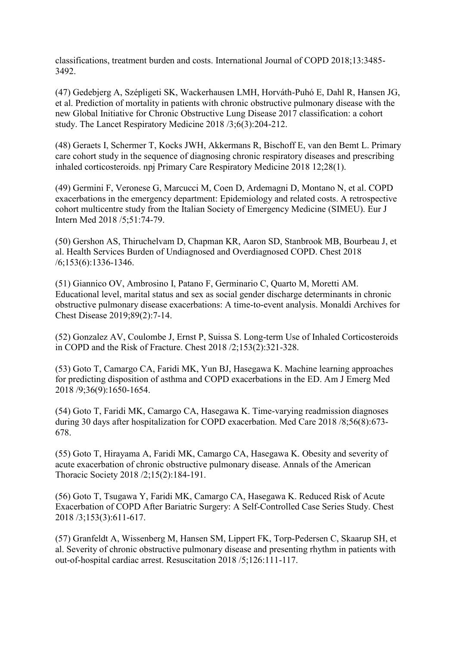classifications, treatment burden and costs. International Journal of COPD 2018;13:3485- 3492.

(47) Gedebjerg A, Szépligeti SK, Wackerhausen LMH, Horváth-Puhó E, Dahl R, Hansen JG, et al. Prediction of mortality in patients with chronic obstructive pulmonary disease with the new Global Initiative for Chronic Obstructive Lung Disease 2017 classification: a cohort study. The Lancet Respiratory Medicine 2018 /3;6(3):204-212.

(48) Geraets I, Schermer T, Kocks JWH, Akkermans R, Bischoff E, van den Bemt L. Primary care cohort study in the sequence of diagnosing chronic respiratory diseases and prescribing inhaled corticosteroids. npj Primary Care Respiratory Medicine 2018 12;28(1).

(49) Germini F, Veronese G, Marcucci M, Coen D, Ardemagni D, Montano N, et al. COPD exacerbations in the emergency department: Epidemiology and related costs. A retrospective cohort multicentre study from the Italian Society of Emergency Medicine (SIMEU). Eur J Intern Med 2018 /5;51:74-79.

(50) Gershon AS, Thiruchelvam D, Chapman KR, Aaron SD, Stanbrook MB, Bourbeau J, et al. Health Services Burden of Undiagnosed and Overdiagnosed COPD. Chest 2018 /6;153(6):1336-1346.

(51) Giannico OV, Ambrosino I, Patano F, Germinario C, Quarto M, Moretti AM. Educational level, marital status and sex as social gender discharge determinants in chronic obstructive pulmonary disease exacerbations: A time-to-event analysis. Monaldi Archives for Chest Disease 2019;89(2):7-14.

(52) Gonzalez AV, Coulombe J, Ernst P, Suissa S. Long-term Use of Inhaled Corticosteroids in COPD and the Risk of Fracture. Chest 2018 /2;153(2):321-328.

(53) Goto T, Camargo CA, Faridi MK, Yun BJ, Hasegawa K. Machine learning approaches for predicting disposition of asthma and COPD exacerbations in the ED. Am J Emerg Med 2018 /9;36(9):1650-1654.

(54) Goto T, Faridi MK, Camargo CA, Hasegawa K. Time-varying readmission diagnoses during 30 days after hospitalization for COPD exacerbation. Med Care 2018 /8;56(8):673- 678.

(55) Goto T, Hirayama A, Faridi MK, Camargo CA, Hasegawa K. Obesity and severity of acute exacerbation of chronic obstructive pulmonary disease. Annals of the American Thoracic Society 2018 /2;15(2):184-191.

(56) Goto T, Tsugawa Y, Faridi MK, Camargo CA, Hasegawa K. Reduced Risk of Acute Exacerbation of COPD After Bariatric Surgery: A Self-Controlled Case Series Study. Chest 2018 /3;153(3):611-617.

(57) Granfeldt A, Wissenberg M, Hansen SM, Lippert FK, Torp-Pedersen C, Skaarup SH, et al. Severity of chronic obstructive pulmonary disease and presenting rhythm in patients with out-of-hospital cardiac arrest. Resuscitation 2018 /5;126:111-117.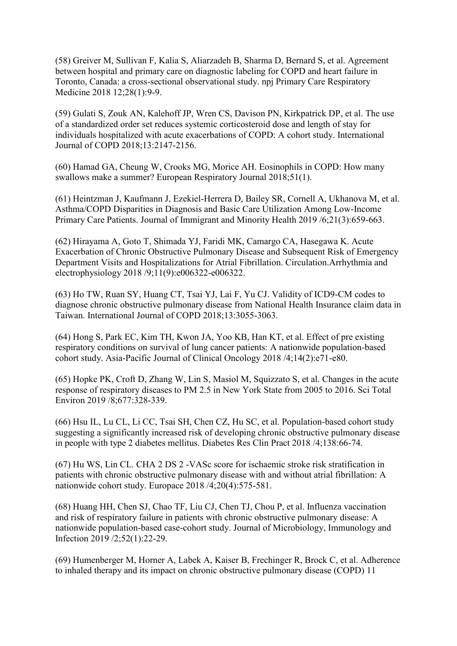(58) Greiver M, Sullivan F, Kalia S, Aliarzadeh B, Sharma D, Bernard S, et al. Agreement between hospital and primary care on diagnostic labeling for COPD and heart failure in Toronto, Canada: a cross-sectional observational study. npj Primary Care Respiratory Medicine 2018 12;28(1):9-9.

(59) Gulati S, Zouk AN, Kalehoff JP, Wren CS, Davison PN, Kirkpatrick DP, et al. The use of a standardized order set reduces systemic corticosteroid dose and length of stay for individuals hospitalized with acute exacerbations of COPD: A cohort study. International Journal of COPD 2018;13:2147-2156.

(60) Hamad GA, Cheung W, Crooks MG, Morice AH. Eosinophils in COPD: How many swallows make a summer? European Respiratory Journal 2018;51(1).

(61) Heintzman J, Kaufmann J, Ezekiel-Herrera D, Bailey SR, Cornell A, Ukhanova M, et al. Asthma/COPD Disparities in Diagnosis and Basic Care Utilization Among Low-Income Primary Care Patients. Journal of Immigrant and Minority Health 2019 /6;21(3):659-663.

(62) Hirayama A, Goto T, Shimada YJ, Faridi MK, Camargo CA, Hasegawa K. Acute Exacerbation of Chronic Obstructive Pulmonary Disease and Subsequent Risk of Emergency Department Visits and Hospitalizations for Atrial Fibrillation. Circulation.Arrhythmia and electrophysiology 2018 /9;11(9):e006322-e006322.

(63) Ho TW, Ruan SY, Huang CT, Tsai YJ, Lai F, Yu CJ. Validity of ICD9-CM codes to diagnose chronic obstructive pulmonary disease from National Health Insurance claim data in Taiwan. International Journal of COPD 2018;13:3055-3063.

(64) Hong S, Park EC, Kim TH, Kwon JA, Yoo KB, Han KT, et al. Effect of pre existing respiratory conditions on survival of lung cancer patients: A nationwide population-based cohort study. Asia-Pacific Journal of Clinical Oncology 2018 /4;14(2):e71-e80.

(65) Hopke PK, Croft D, Zhang W, Lin S, Masiol M, Squizzato S, et al. Changes in the acute response of respiratory diseases to PM 2.5 in New York State from 2005 to 2016. Sci Total Environ 2019 /8;677:328-339.

(66) Hsu IL, Lu CL, Li CC, Tsai SH, Chen CZ, Hu SC, et al. Population-based cohort study suggesting a significantly increased risk of developing chronic obstructive pulmonary disease in people with type 2 diabetes mellitus. Diabetes Res Clin Pract 2018 /4;138:66-74.

(67) Hu WS, Lin CL. CHA 2 DS 2 -VASc score for ischaemic stroke risk stratification in patients with chronic obstructive pulmonary disease with and without atrial fibrillation: A nationwide cohort study. Europace 2018 /4;20(4):575-581.

(68) Huang HH, Chen SJ, Chao TF, Liu CJ, Chen TJ, Chou P, et al. Influenza vaccination and risk of respiratory failure in patients with chronic obstructive pulmonary disease: A nationwide population-based case-cohort study. Journal of Microbiology, Immunology and Infection 2019 /2;52(1):22-29.

(69) Humenberger M, Horner A, Labek A, Kaiser B, Frechinger R, Brock C, et al. Adherence to inhaled therapy and its impact on chronic obstructive pulmonary disease (COPD) 11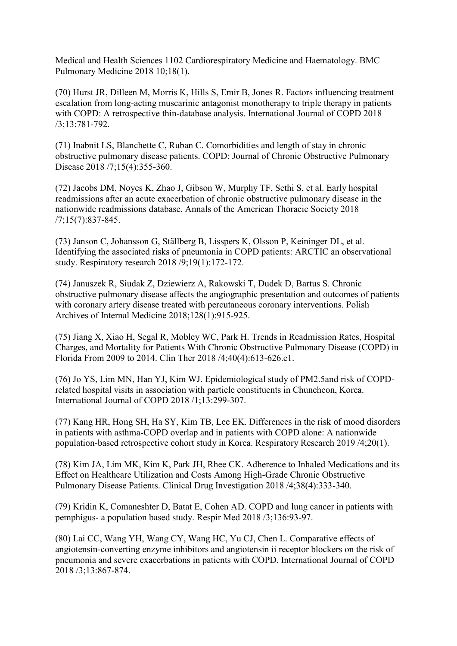Medical and Health Sciences 1102 Cardiorespiratory Medicine and Haematology. BMC Pulmonary Medicine 2018 10;18(1).

(70) Hurst JR, Dilleen M, Morris K, Hills S, Emir B, Jones R. Factors influencing treatment escalation from long-acting muscarinic antagonist monotherapy to triple therapy in patients with COPD: A retrospective thin-database analysis. International Journal of COPD 2018 /3;13:781-792.

(71) Inabnit LS, Blanchette C, Ruban C. Comorbidities and length of stay in chronic obstructive pulmonary disease patients. COPD: Journal of Chronic Obstructive Pulmonary Disease 2018 /7;15(4):355-360.

(72) Jacobs DM, Noyes K, Zhao J, Gibson W, Murphy TF, Sethi S, et al. Early hospital readmissions after an acute exacerbation of chronic obstructive pulmonary disease in the nationwide readmissions database. Annals of the American Thoracic Society 2018 /7;15(7):837-845.

(73) Janson C, Johansson G, Ställberg B, Lisspers K, Olsson P, Keininger DL, et al. Identifying the associated risks of pneumonia in COPD patients: ARCTIC an observational study. Respiratory research 2018 /9;19(1):172-172.

(74) Januszek R, Siudak Z, Dziewierz A, Rakowski T, Dudek D, Bartus S. Chronic obstructive pulmonary disease affects the angiographic presentation and outcomes of patients with coronary artery disease treated with percutaneous coronary interventions. Polish Archives of Internal Medicine 2018;128(1):915-925.

(75) Jiang X, Xiao H, Segal R, Mobley WC, Park H. Trends in Readmission Rates, Hospital Charges, and Mortality for Patients With Chronic Obstructive Pulmonary Disease (COPD) in Florida From 2009 to 2014. Clin Ther 2018 /4;40(4):613-626.e1.

(76) Jo YS, Lim MN, Han YJ, Kim WJ. Epidemiological study of PM2.5and risk of COPDrelated hospital visits in association with particle constituents in Chuncheon, Korea. International Journal of COPD 2018 /1;13:299-307.

(77) Kang HR, Hong SH, Ha SY, Kim TB, Lee EK. Differences in the risk of mood disorders in patients with asthma-COPD overlap and in patients with COPD alone: A nationwide population-based retrospective cohort study in Korea. Respiratory Research 2019 /4;20(1).

(78) Kim JA, Lim MK, Kim K, Park JH, Rhee CK. Adherence to Inhaled Medications and its Effect on Healthcare Utilization and Costs Among High-Grade Chronic Obstructive Pulmonary Disease Patients. Clinical Drug Investigation 2018 /4;38(4):333-340.

(79) Kridin K, Comaneshter D, Batat E, Cohen AD. COPD and lung cancer in patients with pemphigus- a population based study. Respir Med 2018 /3;136:93-97.

(80) Lai CC, Wang YH, Wang CY, Wang HC, Yu CJ, Chen L. Comparative effects of angiotensin-converting enzyme inhibitors and angiotensin ii receptor blockers on the risk of pneumonia and severe exacerbations in patients with COPD. International Journal of COPD 2018 /3;13:867-874.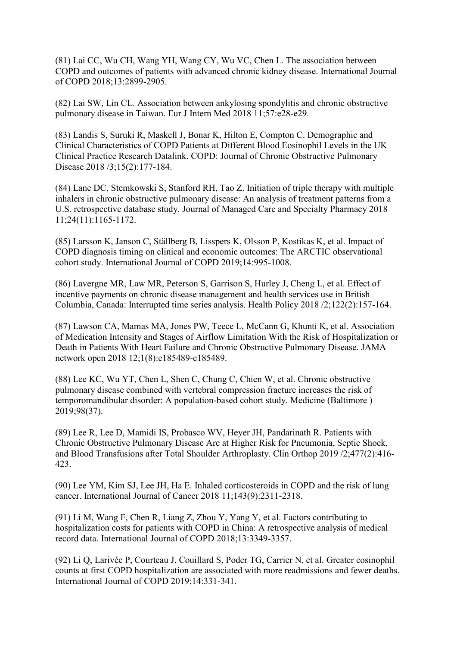(81) Lai CC, Wu CH, Wang YH, Wang CY, Wu VC, Chen L. The association between COPD and outcomes of patients with advanced chronic kidney disease. International Journal of COPD 2018;13:2899-2905.

(82) Lai SW, Lin CL. Association between ankylosing spondylitis and chronic obstructive pulmonary disease in Taiwan. Eur J Intern Med 2018 11;57:e28-e29.

(83) Landis S, Suruki R, Maskell J, Bonar K, Hilton E, Compton C. Demographic and Clinical Characteristics of COPD Patients at Different Blood Eosinophil Levels in the UK Clinical Practice Research Datalink. COPD: Journal of Chronic Obstructive Pulmonary Disease 2018 /3;15(2):177-184.

(84) Lane DC, Stemkowski S, Stanford RH, Tao Z. Initiation of triple therapy with multiple inhalers in chronic obstructive pulmonary disease: An analysis of treatment patterns from a U.S. retrospective database study. Journal of Managed Care and Specialty Pharmacy 2018 11;24(11):1165-1172.

(85) Larsson K, Janson C, Ställberg B, Lisspers K, Olsson P, Kostikas K, et al. Impact of COPD diagnosis timing on clinical and economic outcomes: The ARCTIC observational cohort study. International Journal of COPD 2019;14:995-1008.

(86) Lavergne MR, Law MR, Peterson S, Garrison S, Hurley J, Cheng L, et al. Effect of incentive payments on chronic disease management and health services use in British Columbia, Canada: Interrupted time series analysis. Health Policy 2018 /2;122(2):157-164.

(87) Lawson CA, Mamas MA, Jones PW, Teece L, McCann G, Khunti K, et al. Association of Medication Intensity and Stages of Airflow Limitation With the Risk of Hospitalization or Death in Patients With Heart Failure and Chronic Obstructive Pulmonary Disease. JAMA network open 2018 12;1(8):e185489-e185489.

(88) Lee KC, Wu YT, Chen L, Shen C, Chung C, Chien W, et al. Chronic obstructive pulmonary disease combined with vertebral compression fracture increases the risk of temporomandibular disorder: A population-based cohort study. Medicine (Baltimore ) 2019;98(37).

(89) Lee R, Lee D, Mamidi IS, Probasco WV, Heyer JH, Pandarinath R. Patients with Chronic Obstructive Pulmonary Disease Are at Higher Risk for Pneumonia, Septic Shock, and Blood Transfusions after Total Shoulder Arthroplasty. Clin Orthop 2019 /2;477(2):416- 423.

(90) Lee YM, Kim SJ, Lee JH, Ha E. Inhaled corticosteroids in COPD and the risk of lung cancer. International Journal of Cancer 2018 11;143(9):2311-2318.

(91) Li M, Wang F, Chen R, Liang Z, Zhou Y, Yang Y, et al. Factors contributing to hospitalization costs for patients with COPD in China: A retrospective analysis of medical record data. International Journal of COPD 2018;13:3349-3357.

(92) Li Q, Larivée P, Courteau J, Couillard S, Poder TG, Carrier N, et al. Greater eosinophil counts at first COPD hospitalization are associated with more readmissions and fewer deaths. International Journal of COPD 2019;14:331-341.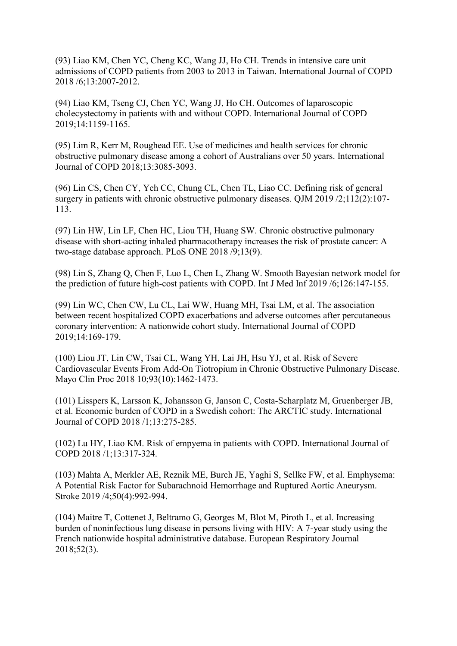(93) Liao KM, Chen YC, Cheng KC, Wang JJ, Ho CH. Trends in intensive care unit admissions of COPD patients from 2003 to 2013 in Taiwan. International Journal of COPD 2018 /6;13:2007-2012.

(94) Liao KM, Tseng CJ, Chen YC, Wang JJ, Ho CH. Outcomes of laparoscopic cholecystectomy in patients with and without COPD. International Journal of COPD 2019;14:1159-1165.

(95) Lim R, Kerr M, Roughead EE. Use of medicines and health services for chronic obstructive pulmonary disease among a cohort of Australians over 50 years. International Journal of COPD 2018;13:3085-3093.

(96) Lin CS, Chen CY, Yeh CC, Chung CL, Chen TL, Liao CC. Defining risk of general surgery in patients with chronic obstructive pulmonary diseases. QJM 2019 /2;112(2):107- 113.

(97) Lin HW, Lin LF, Chen HC, Liou TH, Huang SW. Chronic obstructive pulmonary disease with short-acting inhaled pharmacotherapy increases the risk of prostate cancer: A two-stage database approach. PLoS ONE 2018 /9;13(9).

(98) Lin S, Zhang Q, Chen F, Luo L, Chen L, Zhang W. Smooth Bayesian network model for the prediction of future high-cost patients with COPD. Int J Med Inf 2019 /6;126:147-155.

(99) Lin WC, Chen CW, Lu CL, Lai WW, Huang MH, Tsai LM, et al. The association between recent hospitalized COPD exacerbations and adverse outcomes after percutaneous coronary intervention: A nationwide cohort study. International Journal of COPD 2019;14:169-179.

(100) Liou JT, Lin CW, Tsai CL, Wang YH, Lai JH, Hsu YJ, et al. Risk of Severe Cardiovascular Events From Add-On Tiotropium in Chronic Obstructive Pulmonary Disease. Mayo Clin Proc 2018 10;93(10):1462-1473.

(101) Lisspers K, Larsson K, Johansson G, Janson C, Costa-Scharplatz M, Gruenberger JB, et al. Economic burden of COPD in a Swedish cohort: The ARCTIC study. International Journal of COPD 2018 /1;13:275-285.

(102) Lu HY, Liao KM. Risk of empyema in patients with COPD. International Journal of COPD 2018 /1;13:317-324.

(103) Mahta A, Merkler AE, Reznik ME, Burch JE, Yaghi S, Sellke FW, et al. Emphysema: A Potential Risk Factor for Subarachnoid Hemorrhage and Ruptured Aortic Aneurysm. Stroke 2019 /4;50(4):992-994.

(104) Maitre T, Cottenet J, Beltramo G, Georges M, Blot M, Piroth L, et al. Increasing burden of noninfectious lung disease in persons living with HIV: A 7-year study using the French nationwide hospital administrative database. European Respiratory Journal 2018;52(3).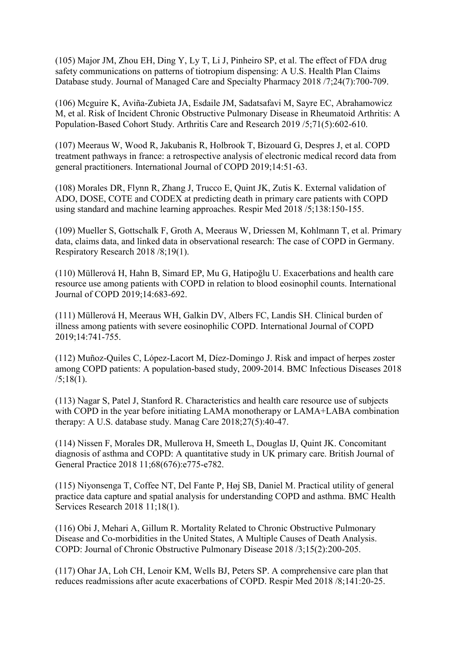(105) Major JM, Zhou EH, Ding Y, Ly T, Li J, Pinheiro SP, et al. The effect of FDA drug safety communications on patterns of tiotropium dispensing: A U.S. Health Plan Claims Database study. Journal of Managed Care and Specialty Pharmacy 2018 /7;24(7):700-709.

(106) Mcguire K, Aviña-Zubieta JA, Esdaile JM, Sadatsafavi M, Sayre EC, Abrahamowicz M, et al. Risk of Incident Chronic Obstructive Pulmonary Disease in Rheumatoid Arthritis: A Population-Based Cohort Study. Arthritis Care and Research 2019 /5;71(5):602-610.

(107) Meeraus W, Wood R, Jakubanis R, Holbrook T, Bizouard G, Despres J, et al. COPD treatment pathways in france: a retrospective analysis of electronic medical record data from general practitioners. International Journal of COPD 2019;14:51-63.

(108) Morales DR, Flynn R, Zhang J, Trucco E, Quint JK, Zutis K. External validation of ADO, DOSE, COTE and CODEX at predicting death in primary care patients with COPD using standard and machine learning approaches. Respir Med 2018 /5;138:150-155.

(109) Mueller S, Gottschalk F, Groth A, Meeraus W, Driessen M, Kohlmann T, et al. Primary data, claims data, and linked data in observational research: The case of COPD in Germany. Respiratory Research 2018 /8;19(1).

(110) Müllerová H, Hahn B, Simard EP, Mu G, Hatipoğlu U. Exacerbations and health care resource use among patients with COPD in relation to blood eosinophil counts. International Journal of COPD 2019;14:683-692.

(111) Müllerová H, Meeraus WH, Galkin DV, Albers FC, Landis SH. Clinical burden of illness among patients with severe eosinophilic COPD. International Journal of COPD 2019;14:741-755.

(112) Muñoz-Quiles C, López-Lacort M, Díez-Domingo J. Risk and impact of herpes zoster among COPD patients: A population-based study, 2009-2014. BMC Infectious Diseases 2018  $/5$ ;18(1).

(113) Nagar S, Patel J, Stanford R. Characteristics and health care resource use of subjects with COPD in the year before initiating LAMA monotherapy or LAMA+LABA combination therapy: A U.S. database study. Manag Care 2018;27(5):40-47.

(114) Nissen F, Morales DR, Mullerova H, Smeeth L, Douglas IJ, Quint JK. Concomitant diagnosis of asthma and COPD: A quantitative study in UK primary care. British Journal of General Practice 2018 11;68(676):e775-e782.

(115) Niyonsenga T, Coffee NT, Del Fante P, Høj SB, Daniel M. Practical utility of general practice data capture and spatial analysis for understanding COPD and asthma. BMC Health Services Research 2018 11;18(1).

(116) Obi J, Mehari A, Gillum R. Mortality Related to Chronic Obstructive Pulmonary Disease and Co-morbidities in the United States, A Multiple Causes of Death Analysis. COPD: Journal of Chronic Obstructive Pulmonary Disease 2018 /3;15(2):200-205.

(117) Ohar JA, Loh CH, Lenoir KM, Wells BJ, Peters SP. A comprehensive care plan that reduces readmissions after acute exacerbations of COPD. Respir Med 2018 /8;141:20-25.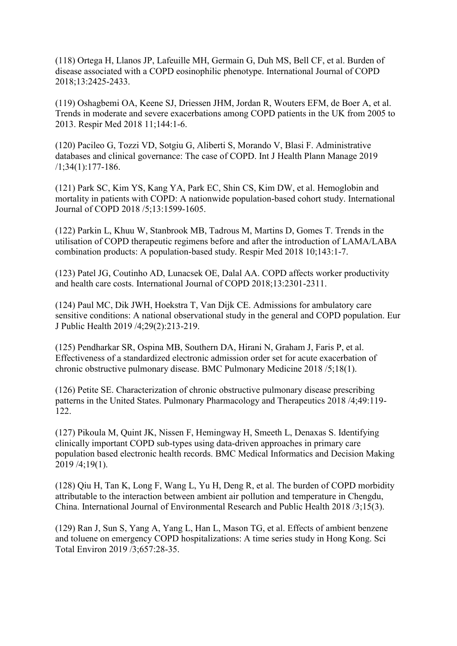(118) Ortega H, Llanos JP, Lafeuille MH, Germain G, Duh MS, Bell CF, et al. Burden of disease associated with a COPD eosinophilic phenotype. International Journal of COPD 2018;13:2425-2433.

(119) Oshagbemi OA, Keene SJ, Driessen JHM, Jordan R, Wouters EFM, de Boer A, et al. Trends in moderate and severe exacerbations among COPD patients in the UK from 2005 to 2013. Respir Med 2018 11;144:1-6.

(120) Pacileo G, Tozzi VD, Sotgiu G, Aliberti S, Morando V, Blasi F. Administrative databases and clinical governance: The case of COPD. Int J Health Plann Manage 2019 /1;34(1):177-186.

(121) Park SC, Kim YS, Kang YA, Park EC, Shin CS, Kim DW, et al. Hemoglobin and mortality in patients with COPD: A nationwide population-based cohort study. International Journal of COPD 2018 /5;13:1599-1605.

(122) Parkin L, Khuu W, Stanbrook MB, Tadrous M, Martins D, Gomes T. Trends in the utilisation of COPD therapeutic regimens before and after the introduction of LAMA/LABA combination products: A population-based study. Respir Med 2018 10;143:1-7.

(123) Patel JG, Coutinho AD, Lunacsek OE, Dalal AA. COPD affects worker productivity and health care costs. International Journal of COPD 2018;13:2301-2311.

(124) Paul MC, Dik JWH, Hoekstra T, Van Dijk CE. Admissions for ambulatory care sensitive conditions: A national observational study in the general and COPD population. Eur J Public Health 2019 /4;29(2):213-219.

(125) Pendharkar SR, Ospina MB, Southern DA, Hirani N, Graham J, Faris P, et al. Effectiveness of a standardized electronic admission order set for acute exacerbation of chronic obstructive pulmonary disease. BMC Pulmonary Medicine 2018 /5;18(1).

(126) Petite SE. Characterization of chronic obstructive pulmonary disease prescribing patterns in the United States. Pulmonary Pharmacology and Therapeutics 2018 /4;49:119- 122.

(127) Pikoula M, Quint JK, Nissen F, Hemingway H, Smeeth L, Denaxas S. Identifying clinically important COPD sub-types using data-driven approaches in primary care population based electronic health records. BMC Medical Informatics and Decision Making 2019 /4;19(1).

(128) Qiu H, Tan K, Long F, Wang L, Yu H, Deng R, et al. The burden of COPD morbidity attributable to the interaction between ambient air pollution and temperature in Chengdu, China. International Journal of Environmental Research and Public Health 2018 /3;15(3).

(129) Ran J, Sun S, Yang A, Yang L, Han L, Mason TG, et al. Effects of ambient benzene and toluene on emergency COPD hospitalizations: A time series study in Hong Kong. Sci Total Environ 2019 /3;657:28-35.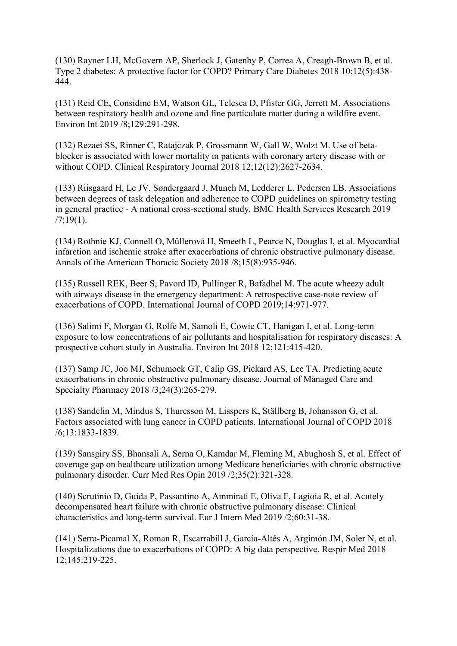(130) Rayner LH, McGovern AP, Sherlock J, Gatenby P, Correa A, Creagh-Brown B, et al. Type 2 diabetes: A protective factor for COPD? Primary Care Diabetes 2018 10;12(5):438- 444.

(131) Reid CE, Considine EM, Watson GL, Telesca D, Pfister GG, Jerrett M. Associations between respiratory health and ozone and fine particulate matter during a wildfire event. Environ Int 2019 /8;129:291-298.

(132) Rezaei SS, Rinner C, Ratajczak P, Grossmann W, Gall W, Wolzt M. Use of betablocker is associated with lower mortality in patients with coronary artery disease with or without COPD. Clinical Respiratory Journal 2018 12;12(12):2627-2634.

(133) Riisgaard H, Le JV, Søndergaard J, Munch M, Ledderer L, Pedersen LB. Associations between degrees of task delegation and adherence to COPD guidelines on spirometry testing in general practice - A national cross-sectional study. BMC Health Services Research 2019  $/7$ ; 19(1).

(134) Rothnie KJ, Connell O, Müllerová H, Smeeth L, Pearce N, Douglas I, et al. Myocardial infarction and ischemic stroke after exacerbations of chronic obstructive pulmonary disease. Annals of the American Thoracic Society 2018 /8;15(8):935-946.

(135) Russell REK, Beer S, Pavord ID, Pullinger R, Bafadhel M. The acute wheezy adult with airways disease in the emergency department: A retrospective case-note review of exacerbations of COPD. International Journal of COPD 2019;14:971-977.

(136) Salimi F, Morgan G, Rolfe M, Samoli E, Cowie CT, Hanigan I, et al. Long-term exposure to low concentrations of air pollutants and hospitalisation for respiratory diseases: A prospective cohort study in Australia. Environ Int 2018 12;121:415-420.

(137) Samp JC, Joo MJ, Schumock GT, Calip GS, Pickard AS, Lee TA. Predicting acute exacerbations in chronic obstructive pulmonary disease. Journal of Managed Care and Specialty Pharmacy 2018 /3;24(3):265-279.

(138) Sandelin M, Mindus S, Thuresson M, Lisspers K, Ställberg B, Johansson G, et al. Factors associated with lung cancer in COPD patients. International Journal of COPD 2018 /6;13:1833-1839.

(139) Sansgiry SS, Bhansali A, Serna O, Kamdar M, Fleming M, Abughosh S, et al. Effect of coverage gap on healthcare utilization among Medicare beneficiaries with chronic obstructive pulmonary disorder. Curr Med Res Opin 2019 /2;35(2):321-328.

(140) Scrutinio D, Guida P, Passantino A, Ammirati E, Oliva F, Lagioia R, et al. Acutely decompensated heart failure with chronic obstructive pulmonary disease: Clinical characteristics and long-term survival. Eur J Intern Med 2019 /2;60:31-38.

(141) Serra-Picamal X, Roman R, Escarrabill J, García-Altés A, Argimón JM, Soler N, et al. Hospitalizations due to exacerbations of COPD: A big data perspective. Respir Med 2018 12;145:219-225.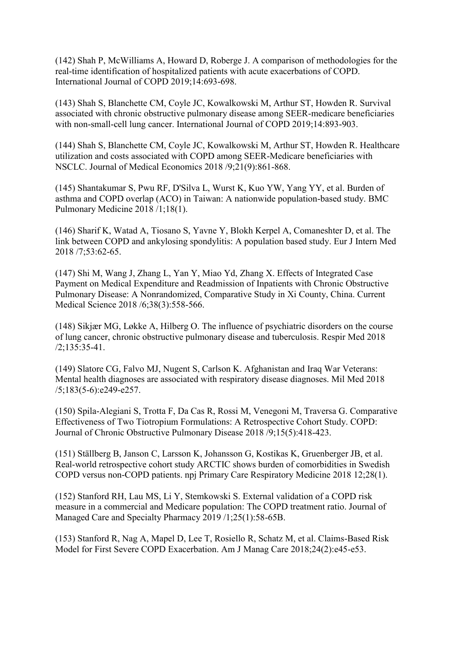(142) Shah P, McWilliams A, Howard D, Roberge J. A comparison of methodologies for the real-time identification of hospitalized patients with acute exacerbations of COPD. International Journal of COPD 2019;14:693-698.

(143) Shah S, Blanchette CM, Coyle JC, Kowalkowski M, Arthur ST, Howden R. Survival associated with chronic obstructive pulmonary disease among SEER-medicare beneficiaries with non-small-cell lung cancer. International Journal of COPD 2019;14:893-903.

(144) Shah S, Blanchette CM, Coyle JC, Kowalkowski M, Arthur ST, Howden R. Healthcare utilization and costs associated with COPD among SEER-Medicare beneficiaries with NSCLC. Journal of Medical Economics 2018 /9;21(9):861-868.

(145) Shantakumar S, Pwu RF, D'Silva L, Wurst K, Kuo YW, Yang YY, et al. Burden of asthma and COPD overlap (ACO) in Taiwan: A nationwide population-based study. BMC Pulmonary Medicine 2018 /1;18(1).

(146) Sharif K, Watad A, Tiosano S, Yavne Y, Blokh Kerpel A, Comaneshter D, et al. The link between COPD and ankylosing spondylitis: A population based study. Eur J Intern Med 2018 /7;53:62-65.

(147) Shi M, Wang J, Zhang L, Yan Y, Miao Yd, Zhang X. Effects of Integrated Case Payment on Medical Expenditure and Readmission of Inpatients with Chronic Obstructive Pulmonary Disease: A Nonrandomized, Comparative Study in Xi County, China. Current Medical Science 2018 /6;38(3):558-566.

(148) Sikjær MG, Løkke A, Hilberg O. The influence of psychiatric disorders on the course of lung cancer, chronic obstructive pulmonary disease and tuberculosis. Respir Med 2018 /2;135:35-41.

(149) Slatore CG, Falvo MJ, Nugent S, Carlson K. Afghanistan and Iraq War Veterans: Mental health diagnoses are associated with respiratory disease diagnoses. Mil Med 2018 /5;183(5-6):e249-e257.

(150) Spila-Alegiani S, Trotta F, Da Cas R, Rossi M, Venegoni M, Traversa G. Comparative Effectiveness of Two Tiotropium Formulations: A Retrospective Cohort Study. COPD: Journal of Chronic Obstructive Pulmonary Disease 2018 /9;15(5):418-423.

(151) Ställberg B, Janson C, Larsson K, Johansson G, Kostikas K, Gruenberger JB, et al. Real-world retrospective cohort study ARCTIC shows burden of comorbidities in Swedish COPD versus non-COPD patients. npj Primary Care Respiratory Medicine 2018 12;28(1).

(152) Stanford RH, Lau MS, Li Y, Stemkowski S. External validation of a COPD risk measure in a commercial and Medicare population: The COPD treatment ratio. Journal of Managed Care and Specialty Pharmacy 2019 /1;25(1):58-65B.

(153) Stanford R, Nag A, Mapel D, Lee T, Rosiello R, Schatz M, et al. Claims-Based Risk Model for First Severe COPD Exacerbation. Am J Manag Care 2018;24(2):e45-e53.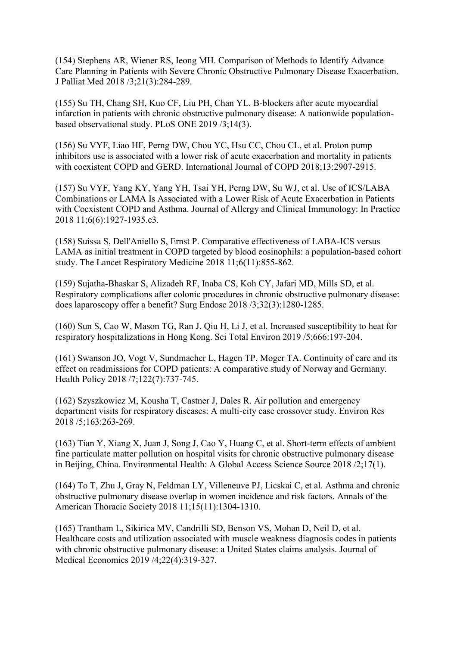(154) Stephens AR, Wiener RS, Ieong MH. Comparison of Methods to Identify Advance Care Planning in Patients with Severe Chronic Obstructive Pulmonary Disease Exacerbation. J Palliat Med 2018 /3;21(3):284-289.

(155) Su TH, Chang SH, Kuo CF, Liu PH, Chan YL. Β-blockers after acute myocardial infarction in patients with chronic obstructive pulmonary disease: A nationwide populationbased observational study. PLoS ONE 2019 /3;14(3).

(156) Su VYF, Liao HF, Perng DW, Chou YC, Hsu CC, Chou CL, et al. Proton pump inhibitors use is associated with a lower risk of acute exacerbation and mortality in patients with coexistent COPD and GERD. International Journal of COPD 2018;13:2907-2915.

(157) Su VYF, Yang KY, Yang YH, Tsai YH, Perng DW, Su WJ, et al. Use of ICS/LABA Combinations or LAMA Is Associated with a Lower Risk of Acute Exacerbation in Patients with Coexistent COPD and Asthma. Journal of Allergy and Clinical Immunology: In Practice 2018 11;6(6):1927-1935.e3.

(158) Suissa S, Dell'Aniello S, Ernst P. Comparative effectiveness of LABA-ICS versus LAMA as initial treatment in COPD targeted by blood eosinophils: a population-based cohort study. The Lancet Respiratory Medicine 2018 11;6(11):855-862.

(159) Sujatha-Bhaskar S, Alizadeh RF, Inaba CS, Koh CY, Jafari MD, Mills SD, et al. Respiratory complications after colonic procedures in chronic obstructive pulmonary disease: does laparoscopy offer a benefit? Surg Endosc 2018 /3;32(3):1280-1285.

(160) Sun S, Cao W, Mason TG, Ran J, Qiu H, Li J, et al. Increased susceptibility to heat for respiratory hospitalizations in Hong Kong. Sci Total Environ 2019 /5;666:197-204.

(161) Swanson JO, Vogt V, Sundmacher L, Hagen TP, Moger TA. Continuity of care and its effect on readmissions for COPD patients: A comparative study of Norway and Germany. Health Policy 2018 /7;122(7):737-745.

(162) Szyszkowicz M, Kousha T, Castner J, Dales R. Air pollution and emergency department visits for respiratory diseases: A multi-city case crossover study. Environ Res 2018 /5;163:263-269.

(163) Tian Y, Xiang X, Juan J, Song J, Cao Y, Huang C, et al. Short-term effects of ambient fine particulate matter pollution on hospital visits for chronic obstructive pulmonary disease in Beijing, China. Environmental Health: A Global Access Science Source 2018 /2;17(1).

(164) To T, Zhu J, Gray N, Feldman LY, Villeneuve PJ, Licskai C, et al. Asthma and chronic obstructive pulmonary disease overlap in women incidence and risk factors. Annals of the American Thoracic Society 2018 11;15(11):1304-1310.

(165) Trantham L, Sikirica MV, Candrilli SD, Benson VS, Mohan D, Neil D, et al. Healthcare costs and utilization associated with muscle weakness diagnosis codes in patients with chronic obstructive pulmonary disease: a United States claims analysis. Journal of Medical Economics 2019 /4;22(4):319-327.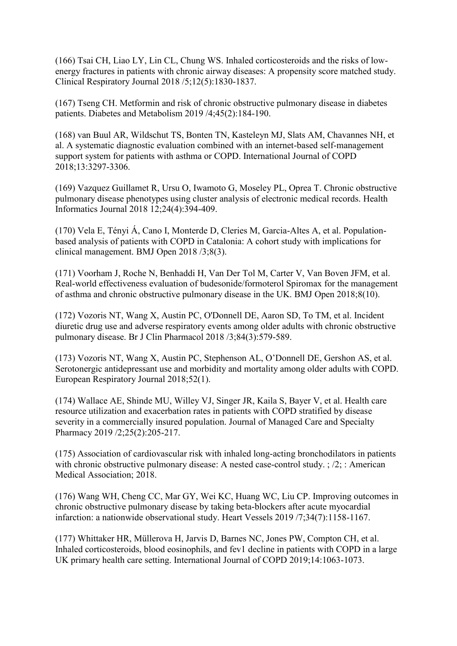(166) Tsai CH, Liao LY, Lin CL, Chung WS. Inhaled corticosteroids and the risks of lowenergy fractures in patients with chronic airway diseases: A propensity score matched study. Clinical Respiratory Journal 2018 /5;12(5):1830-1837.

(167) Tseng CH. Metformin and risk of chronic obstructive pulmonary disease in diabetes patients. Diabetes and Metabolism 2019 /4;45(2):184-190.

(168) van Buul AR, Wildschut TS, Bonten TN, Kasteleyn MJ, Slats AM, Chavannes NH, et al. A systematic diagnostic evaluation combined with an internet-based self-management support system for patients with asthma or COPD. International Journal of COPD 2018;13:3297-3306.

(169) Vazquez Guillamet R, Ursu O, Iwamoto G, Moseley PL, Oprea T. Chronic obstructive pulmonary disease phenotypes using cluster analysis of electronic medical records. Health Informatics Journal 2018 12;24(4):394-409.

(170) Vela E, Tényi Á, Cano I, Monterde D, Cleries M, Garcia-Altes A, et al. Populationbased analysis of patients with COPD in Catalonia: A cohort study with implications for clinical management. BMJ Open 2018 /3;8(3).

(171) Voorham J, Roche N, Benhaddi H, Van Der Tol M, Carter V, Van Boven JFM, et al. Real-world effectiveness evaluation of budesonide/formoterol Spiromax for the management of asthma and chronic obstructive pulmonary disease in the UK. BMJ Open 2018;8(10).

(172) Vozoris NT, Wang X, Austin PC, O'Donnell DE, Aaron SD, To TM, et al. Incident diuretic drug use and adverse respiratory events among older adults with chronic obstructive pulmonary disease. Br J Clin Pharmacol 2018 /3;84(3):579-589.

(173) Vozoris NT, Wang X, Austin PC, Stephenson AL, O'Donnell DE, Gershon AS, et al. Serotonergic antidepressant use and morbidity and mortality among older adults with COPD. European Respiratory Journal 2018;52(1).

(174) Wallace AE, Shinde MU, Willey VJ, Singer JR, Kaila S, Bayer V, et al. Health care resource utilization and exacerbation rates in patients with COPD stratified by disease severity in a commercially insured population. Journal of Managed Care and Specialty Pharmacy 2019 /2;25(2):205-217.

(175) Association of cardiovascular risk with inhaled long-acting bronchodilators in patients with chronic obstructive pulmonary disease: A nested case-control study. ; /2; : American Medical Association; 2018.

(176) Wang WH, Cheng CC, Mar GY, Wei KC, Huang WC, Liu CP. Improving outcomes in chronic obstructive pulmonary disease by taking beta-blockers after acute myocardial infarction: a nationwide observational study. Heart Vessels 2019 /7;34(7):1158-1167.

(177) Whittaker HR, Müllerova H, Jarvis D, Barnes NC, Jones PW, Compton CH, et al. Inhaled corticosteroids, blood eosinophils, and fev1 decline in patients with COPD in a large UK primary health care setting. International Journal of COPD 2019;14:1063-1073.